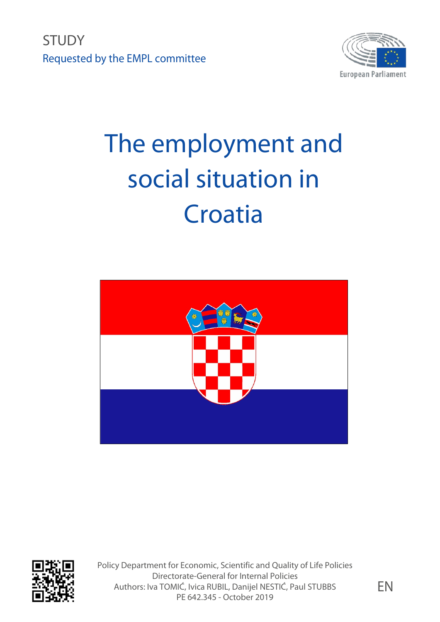**STUDY** Requested by the EMPL committee



# The employment and social situation in Croatia





Policy Department for Economic, Scientific and Quality of Life Policies Directorate-General for Internal Policies Authors: Iva TOMIĆ, Ivica RUBIL, Danijel NESTIĆ, Paul STUBBS PE 642.345 - October 2019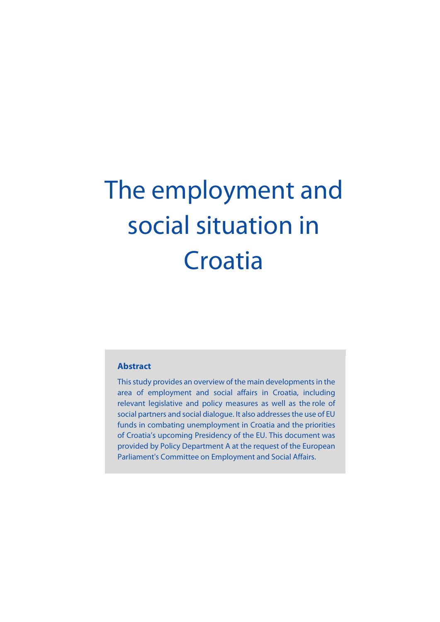# The employment and social situation in **Croatia**

#### **Abstract**

This study provides an overview of the main developments in the area of employment and social affairs in Croatia, including relevant legislative and policy measures as well as the role of social partners and social dialogue. It also addresses the use of EU funds in combating unemployment in Croatia and the priorities of Croatia's upcoming Presidency of the EU. This document was provided by Policy Department A at the request of the European Parliament's Committee on Employment and Social Affairs.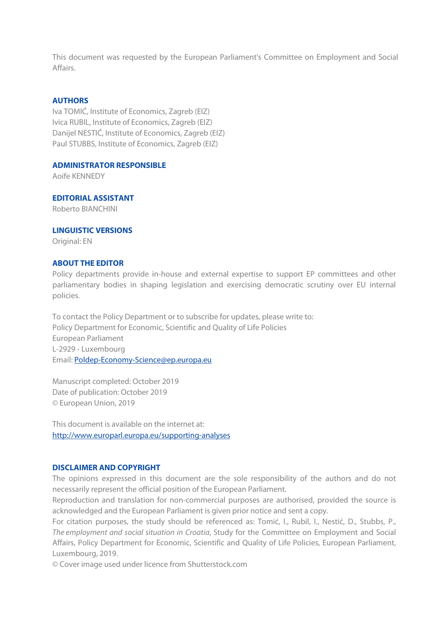This document was requested by the European Parliament's Committee on Employment and Social Affairs.

#### **AUTHORS**

Iva TOMIĆ, Institute of Economics, Zagreb (EIZ) Ivica RUBIL, Institute of Economics, Zagreb (EIZ) Danijel NESTIĆ, Institute of Economics, Zagreb (EIZ) Paul STUBBS, Institute of Economics, Zagreb (EIZ)

#### **ADMINISTRATOR RESPONSIBLE**

Aoife KENNEDY

**EDITORIAL ASSISTANT**  Roberto BIANCHINI

#### **LINGUISTIC VERSIONS**

Original: EN

#### **ABOUT THE EDITOR**

Policy departments provide in-house and external expertise to support EP committees and other parliamentary bodies in shaping legislation and exercising democratic scrutiny over EU internal policies.

To contact the Policy Department or to subscribe for updates, please write to: Policy Department for Economic, Scientific and Quality of Life Policies European Parliament L-2929 - Luxembourg Email[: Poldep-Economy-Science@ep.europa.eu](mailto:Poldep-Economy-Science@ep.europa.eu)

Manuscript completed: October 2019 Date of publication: October 2019 © European Union, 2019

This document is available on the internet at: <http://www.europarl.europa.eu/supporting-analyses>

#### **DISCLAIMER AND COPYRIGHT**

The opinions expressed in this document are the sole responsibility of the authors and do not necessarily represent the official position of the European Parliament.

Reproduction and translation for non-commercial purposes are authorised, provided the source is acknowledged and the European Parliament is given prior notice and sent a copy.

For citation purposes, the study should be referenced as: Tomić, I., Rubil, I., Nestić, D., Stubbs, P., *The employment and social situation in Croatia*, Study for the Committee on Employment and Social Affairs, Policy Department for Economic, Scientific and Quality of Life Policies, European Parliament, Luxembourg, 2019.

© Cover image used under licence from Shutterstock.com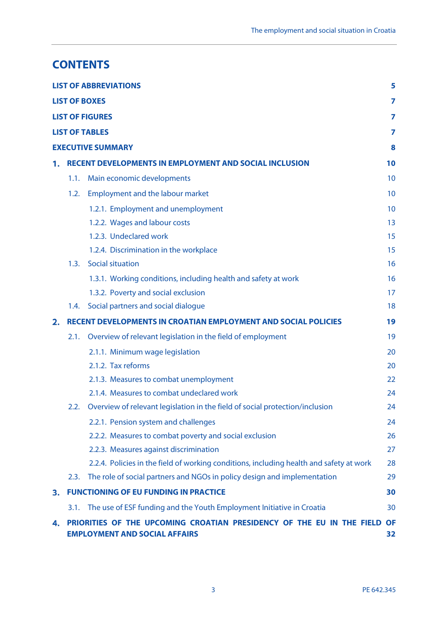# **CONTENTS**

|    |      | <b>LIST OF ABBREVIATIONS</b>                                                                                  | 5               |
|----|------|---------------------------------------------------------------------------------------------------------------|-----------------|
|    |      | <b>LIST OF BOXES</b>                                                                                          | 7               |
|    |      | <b>LIST OF FIGURES</b>                                                                                        | 7               |
|    |      | <b>LIST OF TABLES</b>                                                                                         | 7               |
|    |      | <b>EXECUTIVE SUMMARY</b>                                                                                      | 8               |
| 1. |      | <b>RECENT DEVELOPMENTS IN EMPLOYMENT AND SOCIAL INCLUSION</b>                                                 | 10              |
|    | 1.1. | Main economic developments                                                                                    | 10              |
|    | 1.2. | <b>Employment and the labour market</b>                                                                       | 10              |
|    |      | 1.2.1. Employment and unemployment                                                                            | 10              |
|    |      | 1.2.2. Wages and labour costs                                                                                 | 13              |
|    |      | 1.2.3. Undeclared work                                                                                        | 15              |
|    |      | 1.2.4. Discrimination in the workplace                                                                        | 15              |
|    | 1.3. | <b>Social situation</b>                                                                                       | 16              |
|    |      | 1.3.1. Working conditions, including health and safety at work                                                | 16              |
|    |      | 1.3.2. Poverty and social exclusion                                                                           | 17              |
|    | 1.4. | Social partners and social dialogue                                                                           | 18              |
| 2. |      | <b>RECENT DEVELOPMENTS IN CROATIAN EMPLOYMENT AND SOCIAL POLICIES</b>                                         | 19              |
|    | 2.1. | Overview of relevant legislation in the field of employment                                                   | 19              |
|    |      | 2.1.1. Minimum wage legislation                                                                               | 20              |
|    |      | 2.1.2. Tax reforms                                                                                            | 20              |
|    |      | 2.1.3. Measures to combat unemployment                                                                        | 22              |
|    |      | 2.1.4. Measures to combat undeclared work                                                                     | 24              |
|    | 2.2. | Overview of relevant legislation in the field of social protection/inclusion                                  | 24              |
|    |      | 2.2.1. Pension system and challenges                                                                          | 24              |
|    |      | 2.2.2. Measures to combat poverty and social exclusion                                                        | 26              |
|    |      | 2.2.3. Measures against discrimination                                                                        | 27              |
|    |      | 2.2.4. Policies in the field of working conditions, including health and safety at work                       | 28              |
|    | 2.3. | The role of social partners and NGOs in policy design and implementation                                      | 29              |
| з. |      | <b>FUNCTIONING OF EU FUNDING IN PRACTICE</b>                                                                  | 30              |
|    | 3.1. | The use of ESF funding and the Youth Employment Initiative in Croatia                                         | 30              |
| 4. |      | PRIORITIES OF THE UPCOMING CROATIAN PRESIDENCY OF THE EU IN THE FIELD<br><b>EMPLOYMENT AND SOCIAL AFFAIRS</b> | <b>OF</b><br>32 |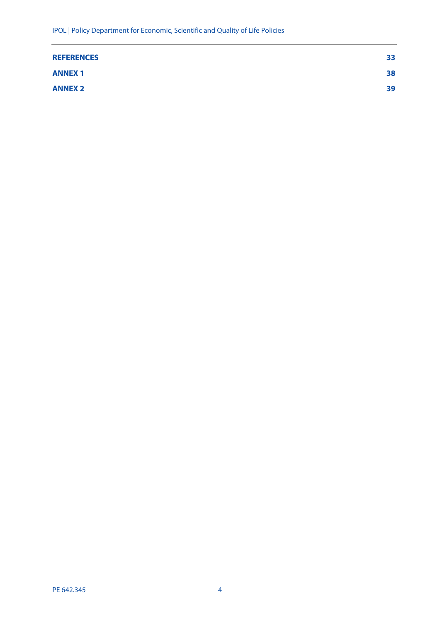| <b>REFERENCES</b> | 33 |
|-------------------|----|
| <b>ANNEX1</b>     | 38 |
| <b>ANNEX 2</b>    | 39 |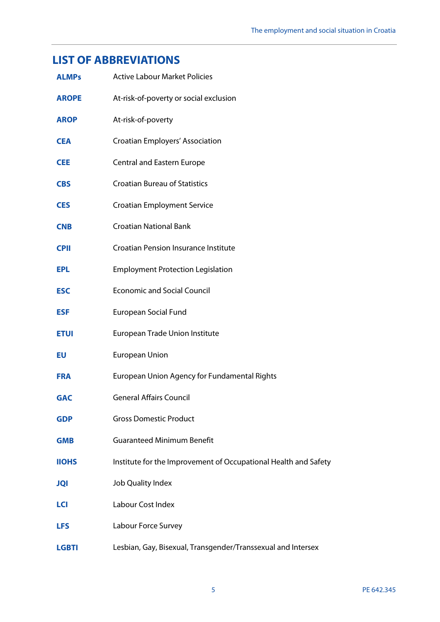# <span id="page-6-0"></span>**LIST OF ABBREVIATIONS**

| <b>ALMPs</b> | <b>Active Labour Market Policies</b>                            |
|--------------|-----------------------------------------------------------------|
| <b>AROPE</b> | At-risk-of-poverty or social exclusion                          |
| <b>AROP</b>  | At-risk-of-poverty                                              |
| <b>CEA</b>   | Croatian Employers' Association                                 |
| <b>CEE</b>   | <b>Central and Eastern Europe</b>                               |
| <b>CBS</b>   | <b>Croatian Bureau of Statistics</b>                            |
| <b>CES</b>   | <b>Croatian Employment Service</b>                              |
| <b>CNB</b>   | <b>Croatian National Bank</b>                                   |
| <b>CPII</b>  | <b>Croatian Pension Insurance Institute</b>                     |
| <b>EPL</b>   | <b>Employment Protection Legislation</b>                        |
| <b>ESC</b>   | <b>Economic and Social Council</b>                              |
| <b>ESF</b>   | <b>European Social Fund</b>                                     |
| <b>ETUI</b>  | European Trade Union Institute                                  |
| EU           | European Union                                                  |
| <b>FRA</b>   | European Union Agency for Fundamental Rights                    |
| <b>GAC</b>   | <b>General Affairs Council</b>                                  |
| <b>GDP</b>   | <b>Gross Domestic Product</b>                                   |
| <b>GMB</b>   | <b>Guaranteed Minimum Benefit</b>                               |
| <b>IIOHS</b> | Institute for the Improvement of Occupational Health and Safety |
| <b>JQI</b>   | Job Quality Index                                               |
| <b>LCI</b>   | Labour Cost Index                                               |
| <b>LFS</b>   | Labour Force Survey                                             |
| <b>LGBTI</b> | Lesbian, Gay, Bisexual, Transgender/Transsexual and Intersex    |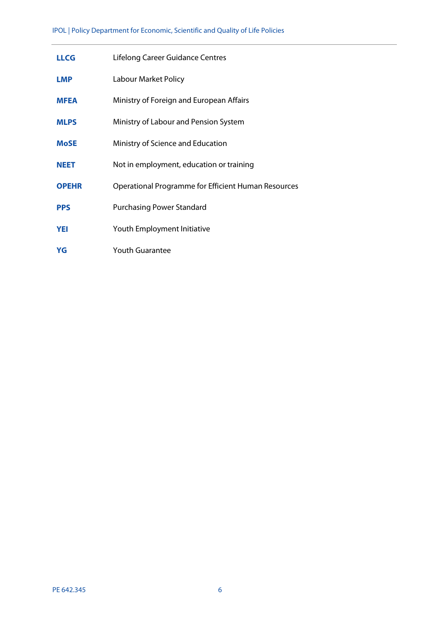| <b>LLCG</b>  | Lifelong Career Guidance Centres                    |
|--------------|-----------------------------------------------------|
| <b>LMP</b>   | Labour Market Policy                                |
| <b>MFEA</b>  | Ministry of Foreign and European Affairs            |
| <b>MLPS</b>  | Ministry of Labour and Pension System               |
| <b>MoSE</b>  | Ministry of Science and Education                   |
| <b>NEET</b>  | Not in employment, education or training            |
| <b>OPEHR</b> | Operational Programme for Efficient Human Resources |
| <b>PPS</b>   | <b>Purchasing Power Standard</b>                    |
| <b>YEI</b>   | Youth Employment Initiative                         |
| YG           | <b>Youth Guarantee</b>                              |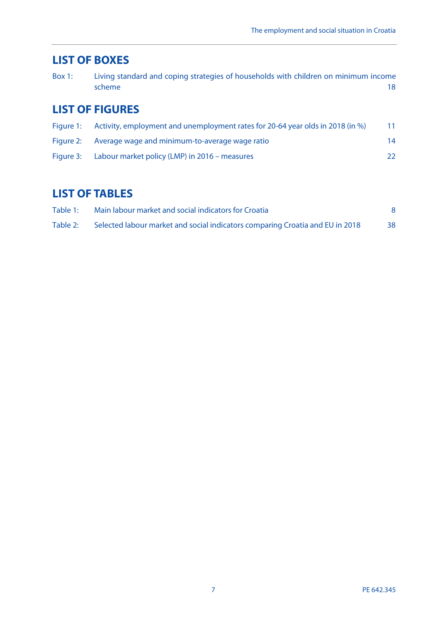# <span id="page-8-0"></span>**LIST OF BOXES**

| Box $1:$ | Living standard and coping strategies of households with children on minimum income |  |
|----------|-------------------------------------------------------------------------------------|--|
|          | scheme                                                                              |  |

# <span id="page-8-1"></span>**LIST OF FIGURES**

|           | Figure 1: Activity, employment and unemployment rates for 20-64 year olds in 2018 (in %) | 11 |
|-----------|------------------------------------------------------------------------------------------|----|
|           | Figure 2: Average wage and minimum-to-average wage ratio                                 | 14 |
| Figure 3: | Labour market policy (LMP) in 2016 – measures                                            | 22 |

# <span id="page-8-2"></span>**LIST OF TABLES**

| Table 1: | Main labour market and social indicators for Croatia                          |    |
|----------|-------------------------------------------------------------------------------|----|
| Table 2: | Selected labour market and social indicators comparing Croatia and EU in 2018 | 38 |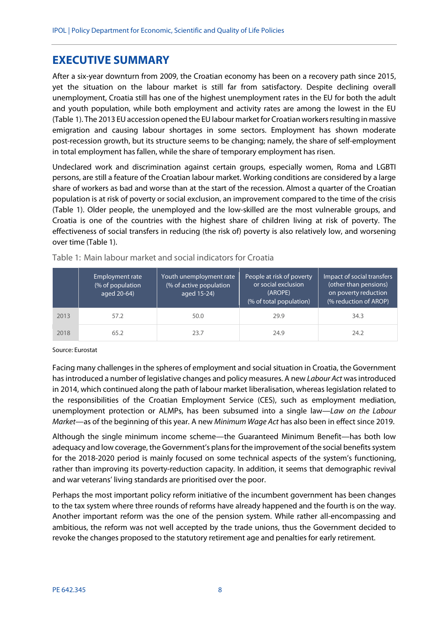# <span id="page-9-0"></span>**EXECUTIVE SUMMARY**

After a six-year downturn from 2009, the Croatian economy has been on a recovery path since 2015, yet the situation on the labour market is still far from satisfactory. Despite declining overall unemployment, Croatia still has one of the highest unemployment rates in the EU for both the adult and youth population, while both employment and activity rates are among the lowest in the EU (Table 1). The 2013 EU accession opened the EU labour market for Croatian workers resulting in massive emigration and causing labour shortages in some sectors. Employment has shown moderate post-recession growth, but its structure seems to be changing; namely, the share of self-employment in total employment has fallen, while the share of temporary employment has risen.

Undeclared work and discrimination against certain groups, especially women, Roma and LGBTI persons, are still a feature of the Croatian labour market. Working conditions are considered by a large share of workers as bad and worse than at the start of the recession. Almost a quarter of the Croatian population is at risk of poverty or social exclusion, an improvement compared to the time of the crisis (Table 1). Older people, the unemployed and the low-skilled are the most vulnerable groups, and Croatia is one of the countries with the highest share of children living at risk of poverty. The effectiveness of social transfers in reducing (the risk of) poverty is also relatively low, and worsening over time (Table 1).

|      | Employment rate<br>(% of population<br>aged 20-64) | Youth unemployment rate<br>(% of active population<br>aged 15-24) | People at risk of poverty<br>or social exclusion<br>(AROPE)<br>(% of total population) | Impact of social transfers<br>(other than pensions)<br>on poverty reduction<br>(% reduction of AROP) |
|------|----------------------------------------------------|-------------------------------------------------------------------|----------------------------------------------------------------------------------------|------------------------------------------------------------------------------------------------------|
| 2013 | 57.2                                               | 50.0                                                              | 29.9                                                                                   | 34.3                                                                                                 |
| 2018 | 65.2                                               | 23.7                                                              | 24.9                                                                                   | 24.2                                                                                                 |

<span id="page-9-1"></span>Table 1: Main labour market and social indicators for Croatia

Source: Eurostat

Facing many challenges in the spheres of employment and social situation in Croatia, the Government has introduced a number of legislative changes and policy measures. A new *Labour Act* was introduced in 2014, which continued along the path of labour market liberalisation, whereas legislation related to the responsibilities of the Croatian Employment Service (CES), such as employment mediation, unemployment protection or ALMPs, has been subsumed into a single law—*Law on the Labour Market*—as of the beginning of this year. A new *Minimum Wage Act* has also been in effect since 2019.

Although the single minimum income scheme—the Guaranteed Minimum Benefit—has both low adequacy and low coverage, the Government's plansfor the improvement of the social benefits system for the 2018-2020 period is mainly focused on some technical aspects of the system's functioning, rather than improving its poverty-reduction capacity. In addition, it seems that demographic revival and war veterans' living standards are prioritised over the poor.

Perhaps the most important policy reform initiative of the incumbent government has been changes to the tax system where three rounds of reforms have already happened and the fourth is on the way. Another important reform was the one of the pension system. While rather all-encompassing and ambitious, the reform was not well accepted by the trade unions, thus the Government decided to revoke the changes proposed to the statutory retirement age and penalties for early retirement.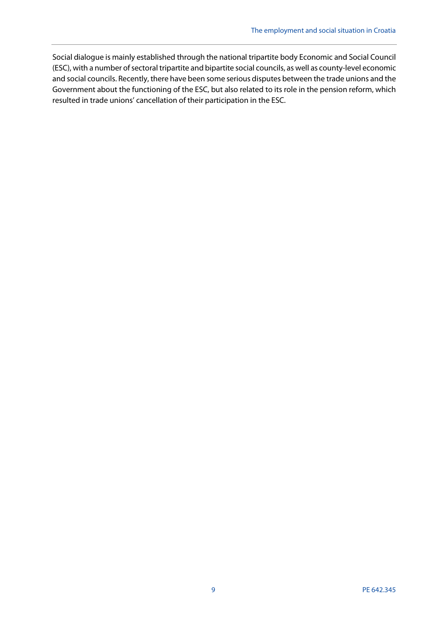Social dialogue is mainly established through the national tripartite body Economic and Social Council (ESC), with a number of sectoral tripartite and bipartite social councils, as well as county-level economic and social councils. Recently, there have been some serious disputes between the trade unions and the Government about the functioning of the ESC, but also related to its role in the pension reform, which resulted in trade unions' cancellation of their participation in the ESC.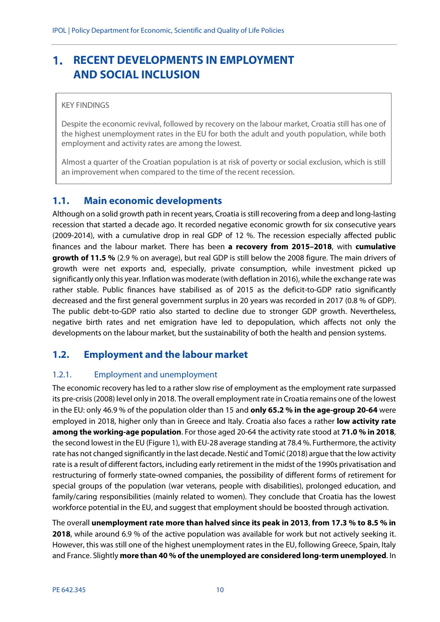#### <span id="page-11-0"></span>**RECENT DEVELOPMENTS IN EMPLOYMENT**   $\mathbf{1}$ . **AND SOCIAL INCLUSION**

#### KEY FINDINGS

Despite the economic revival, followed by recovery on the labour market, Croatia still has one of the highest unemployment rates in the EU for both the adult and youth population, while both employment and activity rates are among the lowest.

Almost a quarter of the Croatian population is at risk of poverty or social exclusion, which is still an improvement when compared to the time of the recent recession.

#### <span id="page-11-1"></span>**1.1. Main economic developments**

Although on a solid growth path in recent years, Croatia is still recovering from a deep and long-lasting recession that started a decade ago. It recorded negative economic growth for six consecutive years (2009-2014), with a cumulative drop in real GDP of 12 %. The recession especially affected public finances and the labour market. There has been **a recovery from 2015–2018**, with **cumulative growth of 11.5 %** (2.9 % on average), but real GDP is still below the 2008 figure. The main drivers of growth were net exports and, especially, private consumption, while investment picked up significantly only this year. Inflation was moderate (with deflation in 2016), while the exchange rate was rather stable. Public finances have stabilised as of 2015 as the deficit-to-GDP ratio significantly decreased and the first general government surplus in 20 years was recorded in 2017 (0.8 % of GDP). The public debt-to-GDP ratio also started to decline due to stronger GDP growth. Nevertheless, negative birth rates and net emigration have led to depopulation, which affects not only the developments on the labour market, but the sustainability of both the health and pension systems.

## <span id="page-11-2"></span>**1.2. Employment and the labour market**

#### <span id="page-11-3"></span>1.2.1. Employment and unemployment

The economic recovery has led to a rather slow rise of employment as the employment rate surpassed its pre-crisis (2008) level only in 2018. The overall employment rate in Croatia remains one of the lowest in the EU: only 46.9 % of the population older than 15 and **only 65.2 % in the age-group 20-64** were employed in 2018, higher only than in Greece and Italy. Croatia also faces a rather **low activity rate among the working-age population**. For those aged 20-64 the activity rate stood at **71.0 % in 2018**, the second lowest in the EU (Figure 1), with EU-28 average standing at 78.4 %. Furthermore, the activity rate has not changed significantly in the last decade. Nestić and Tomić (2018) argue that the low activity rate is a result of different factors, including early retirement in the midst of the 1990s privatisation and restructuring of formerly state-owned companies, the possibility of different forms of retirement for special groups of the population (war veterans, people with disabilities), prolonged education, and family/caring responsibilities (mainly related to women). They conclude that Croatia has the lowest workforce potential in the EU, and suggest that employment should be boosted through activation.

The overall **unemployment rate more than halved since its peak in 2013**, **from 17.3 % to 8.5 % in 2018**, while around 6.9 % of the active population was available for work but not actively seeking it. However, this was still one of the highest unemployment rates in the EU, following Greece, Spain, Italy and France. Slightly **more than 40 % of the unemployed are considered long-term unemployed**. In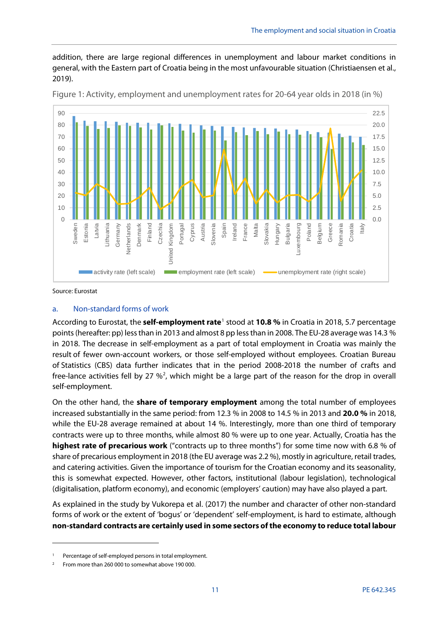addition, there are large regional differences in unemployment and labour market conditions in general, with the Eastern part of Croatia being in the most unfavourable situation (Christiaensen et al., 2019).



<span id="page-12-0"></span>Figure 1: Activity, employment and unemployment rates for 20-64 year olds in 2018 (in %)

Source: Eurostat

1

#### a. Non-standard forms of work

According to Eurostat, the **self-employment rate**[1](#page-12-1) stood at **10.8 %** in Croatia in 2018, 5.7 percentage points (hereafter: pp) less than in 2013 and almost 8 pp less than in 2008. The EU-28 average was 14.3 % in 2018. The decrease in self-employment as a part of total employment in Croatia was mainly the result of fewer own-account workers, or those self-employed without employees. Croatian Bureau of Statistics (CBS) data further indicates that in the period 2008-2018 the number of crafts and free-lance activities fell by [2](#page-12-2)7  $\frac{1}{2}$ , which might be a large part of the reason for the drop in overall self-employment.

On the other hand, the **share of temporary employment** among the total number of employees increased substantially in the same period: from 12.3 % in 2008 to 14.5 % in 2013 and **20.0 %** in 2018, while the EU-28 average remained at about 14 %. Interestingly, more than one third of temporary contracts were up to three months, while almost 80 % were up to one year. Actually, Croatia has the **highest rate of precarious work** ("contracts up to three months") for some time now with 6.8 % of share of precarious employment in 2018 (the EU average was 2.2 %), mostly in agriculture, retail trades, and catering activities. Given the importance of tourism for the Croatian economy and its seasonality, this is somewhat expected. However, other factors, institutional (labour legislation), technological (digitalisation, platform economy), and economic (employers' caution) may have also played a part.

As explained in the study by Vukorepa et al. (2017) the number and character of other non-standard forms of work or the extent of 'bogus' or 'dependent' self-employment, is hard to estimate, although **non-standard contracts are certainly used in some sectors of the economy to reduce total labour** 

<span id="page-12-1"></span>Percentage of self-employed persons in total employment.

<span id="page-12-2"></span><sup>2</sup> From more than 260 000 to somewhat above 190 000.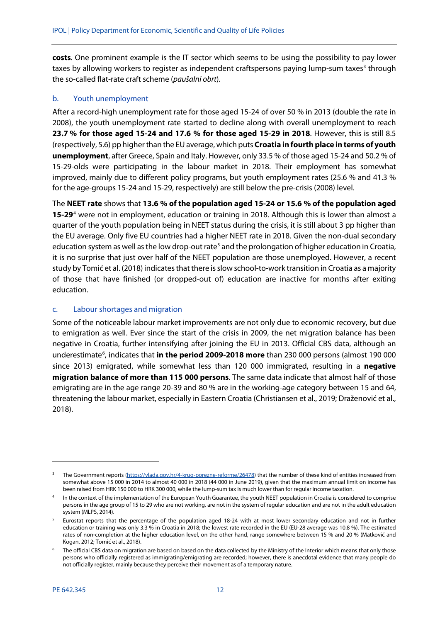**costs**. One prominent example is the IT sector which seems to be using the possibility to pay lower taxes by allowing workers to register as independent craftspersons paying lump-sum taxes<sup>[3](#page-13-0)</sup> through the so-called flat-rate craft scheme (*paušalni obrt*).

#### b. Youth unemployment

After a record-high unemployment rate for those aged 15-24 of over 50 % in 2013 (double the rate in 2008), the youth unemployment rate started to decline along with overall unemployment to reach **23.7 % for those aged 15-24 and 17.6 % for those aged 15-29 in 2018**. However, this is still 8.5 (respectively, 5.6) pp higher than the EU average, which puts **Croatia in fourth place in terms of youth unemployment**, after Greece, Spain and Italy. However, only 33.5 % of those aged 15-24 and 50.2 % of 15-29-olds were participating in the labour market in 2018. Their employment has somewhat improved, mainly due to different policy programs, but youth employment rates (25.6 % and 41.3 % for the age-groups 15-24 and 15-29, respectively) are still below the pre-crisis (2008) level.

The **NEET rate** shows that **13.6 % of the population aged 15-24 or 15.6 % of the population aged 15-29**[4](#page-13-1) were not in employment, education or training in 2018. Although this is lower than almost a quarter of the youth population being in NEET status during the crisis, it is still about 3 pp higher than the EU average. Only five EU countries had a higher NEET rate in 2018. Given the non-dual secondary education system as well as the low drop-out rate<sup>5</sup> and the prolongation of higher education in Croatia, it is no surprise that just over half of the NEET population are those unemployed. However, a recent study by Tomić et al. (2018) indicates that there isslow school-to-work transition in Croatia as a majority of those that have finished (or dropped-out of) education are inactive for months after exiting education.

#### c. Labour shortages and migration

Some of the noticeable labour market improvements are not only due to economic recovery, but due to emigration as well. Ever since the start of the crisis in 2009, the net migration balance has been negative in Croatia, further intensifying after joining the EU in 2013. Official CBS data, although an underestimate<sup>[6](#page-13-3)</sup>, indicates that in the period 2009-2018 more than 230 000 persons (almost 190 000 since 2013) emigrated, while somewhat less than 120 000 immigrated, resulting in a **negative migration balance of more than 115 000 persons**. The same data indicate that almost half of those emigrating are in the age range 20-39 and 80 % are in the working-age category between 15 and 64, threatening the labour market, especially in Eastern Croatia (Christiansen et al., 2019; Draženović et al., 2018).

**.** 

<span id="page-13-0"></span><sup>&</sup>lt;sup>3</sup> The Government reports [\(https://vlada.gov.hr/4-krug-porezne-reforme/26478\)](https://vlada.gov.hr/4-krug-porezne-reforme/26478) that the number of these kind of entities increased from somewhat above 15 000 in 2014 to almost 40 000 in 2018 (44 000 in June 2019), given that the maximum annual limit on income has been raised from HRK 150 000 to HRK 300 000, while the lump-sum tax is much lower than for regular income taxation.

<span id="page-13-1"></span>In the context of the implementation of the European Youth Guarantee, the youth NEET population in Croatia is considered to comprise persons in the age group of 15 to 29 who are not working, are not in the system of regular education and are not in the adult education system (MLPS, 2014).

<span id="page-13-2"></span><sup>5</sup> Eurostat reports that the percentage of the population aged 18-24 with at most lower secondary education and not in further education or training was only 3.3 % in Croatia in 2018; the lowest rate recorded in the EU (EU-28 average was 10.8 %). The estimated rates of non-completion at the higher education level, on the other hand, range somewhere between 15 % and 20 % (Matković and Kogan, 2012; Tomić et al., 2018).

<span id="page-13-3"></span>The official CBS data on migration are based on based on the data collected by the Ministry of the Interior which means that only those persons who officially registered as immigrating/emigrating are recorded; however, there is anecdotal evidence that many people do not officially register, mainly because they perceive their movement as of a temporary nature.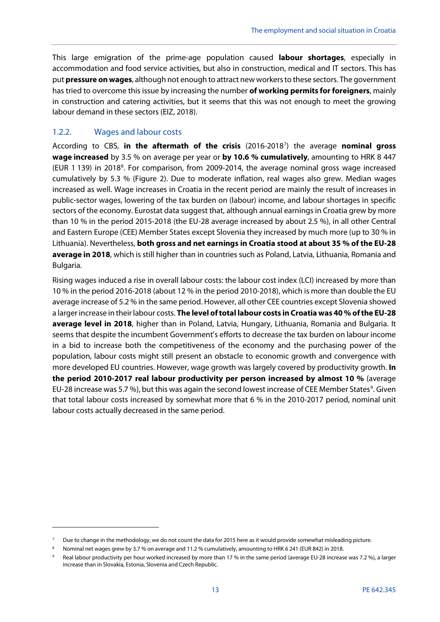This large emigration of the prime-age population caused **labour shortages**, especially in accommodation and food service activities, but also in construction, medical and IT sectors. This has put **pressure on wages**, although not enough to attract new workers to these sectors. The government has tried to overcome this issue by increasing the number **of working permits for foreigners**, mainly in construction and catering activities, but it seems that this was not enough to meet the growing labour demand in these sectors (EIZ, 2018).

#### <span id="page-14-0"></span>1.2.2. Wages and labour costs

**.** 

According to CBS, in the aftermath of the crisis (2016-2018<sup>[7](#page-14-1)</sup>) the average nominal gross **wage increased** by 3.5 % on average per year or **by 10.6 % cumulatively**, amounting to HRK 8 447 (EUR 1 139) in 201[8](#page-14-2)<sup>8</sup>. For comparison, from 2009-2014, the average nominal gross wage increased cumulatively by 5.3 % (Figure 2). Due to moderate inflation, real wages also grew. Median wages increased as well. Wage increases in Croatia in the recent period are mainly the result of increases in public-sector wages, lowering of the tax burden on (labour) income, and labour shortages in specific sectors of the economy. Eurostat data suggest that, although annual earnings in Croatia grew by more than 10 % in the period 2015-2018 (the EU-28 average increased by about 2.5 %), in all other Central and Eastern Europe (CEE) Member States except Slovenia they increased by much more (up to 30 % in Lithuania). Nevertheless, **both gross and net earnings in Croatia stood at about 35 % of the EU-28 average in 2018**, which is still higher than in countries such as Poland, Latvia, Lithuania, Romania and Bulgaria.

Rising wages induced a rise in overall labour costs: the labour cost index (LCI) increased by more than 10 % in the period 2016-2018 (about 12 % in the period 2010-2018), which is more than double the EU average increase of 5.2 % in the same period. However, all other CEE countries except Slovenia showed a larger increase in their labour costs. **The level of total labour costs in Croatia was 40 % of the EU-28 average level in 2018**, higher than in Poland, Latvia, Hungary, Lithuania, Romania and Bulgaria. It seems that despite the incumbent Government's efforts to decrease the tax burden on labour income in a bid to increase both the competitiveness of the economy and the purchasing power of the population, labour costs might still present an obstacle to economic growth and convergence with more developed EU countries. However, wage growth was largely covered by productivity growth. **In the period 2010-2017 real labour productivity per person increased by almost 10 %** (average EU-28 increase was 5.7 %), but this was again the second lowest increase of CEE Member States<sup>[9](#page-14-3)</sup>. Given that total labour costs increased by somewhat more that 6 % in the 2010-2017 period, nominal unit labour costs actually decreased in the same period.

<span id="page-14-1"></span>Due to change in the methodology, we do not count the data for 2015 here as it would provide somewhat misleading picture.

<span id="page-14-2"></span><sup>8</sup> Nominal net wages grew by 3.7 % on average and 11.2 % cumulatively, amounting to HRK 6 241 (EUR 842) in 2018.

<span id="page-14-3"></span>Real labour productivity per hour worked increased by more than 17 % in the same period (average EU-28 increase was 7.2 %), a larger increase than in Slovakia, Estonia, Slovenia and Czech Republic.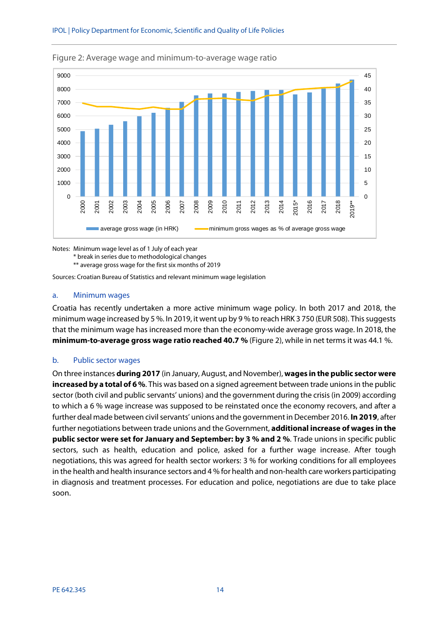

<span id="page-15-0"></span>Figure 2: Average wage and minimum-to-average wage ratio

Notes: Minimum wage level as of 1 July of each year \* break in series due to methodological changes \*\* average gross wage for the first six months of 2019

Sources: Croatian Bureau of Statistics and relevant minimum wage legislation

#### a. Minimum wages

Croatia has recently undertaken a more active minimum wage policy. In both 2017 and 2018, the minimum wage increased by 5 %. In 2019, it went up by 9 % to reach HRK 3 750 (EUR 508). This suggests that the minimum wage has increased more than the economy-wide average gross wage. In 2018, the **minimum-to-average gross wage ratio reached 40.7 %** (Figure 2), while in net terms it was 44.1 %.

#### b. Public sector wages

On three instances **during 2017** (in January, August, and November), **wages in the public sector were increased by a total of 6 %**. This was based on a signed agreement between trade unions in the public sector (both civil and public servants' unions) and the government during the crisis (in 2009) according to which a 6 % wage increase was supposed to be reinstated once the economy recovers, and after a further deal made between civil servants' unions and the government in December 2016. **In 2019**, after further negotiations between trade unions and the Government, **additional increase of wages in the public sector were set for January and September: by 3 % and 2 %**. Trade unions in specific public sectors, such as health, education and police, asked for a further wage increase. After tough negotiations, this was agreed for health sector workers: 3 % for working conditions for all employees in the health and health insurance sectors and 4 % for health and non-health care workers participating in diagnosis and treatment processes. For education and police, negotiations are due to take place soon.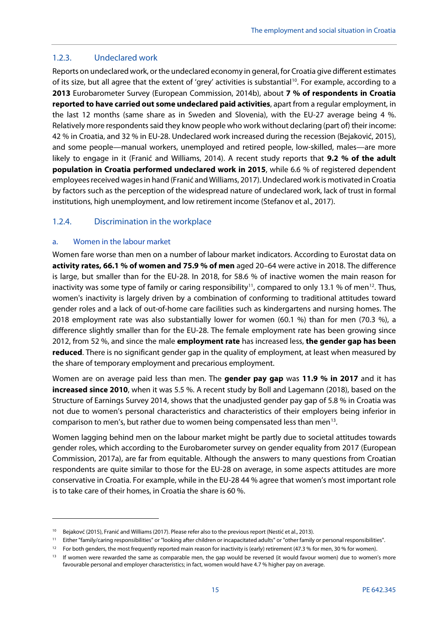#### <span id="page-16-0"></span>1.2.3. Undeclared work

Reports on undeclared work, or the undeclared economy in general, for Croatia give different estimates of its size, but all agree that the extent of 'grey' activities is substantial<sup>10</sup>. For example, according to a **2013** Eurobarometer Survey (European Commission, 2014b), about **7 % of respondents in Croatia reported to have carried out some undeclared paid activities**, apart from a regular employment, in the last 12 months (same share as in Sweden and Slovenia), with the EU-27 average being 4 %. Relatively more respondents said they know people who work without declaring (part of) their income: 42 % in Croatia, and 32 % in EU-28. Undeclared work increased during the recession (Bejaković, 2015), and some people—manual workers, unemployed and retired people, low-skilled, males—are more likely to engage in it (Franić and Williams, 2014). A recent study reports that **9.2 % of the adult population in Croatia performed undeclared work in 2015**, while 6.6 % of registered dependent employees received wages in hand (Franić and Williams, 2017). Undeclared work is motivated in Croatia by factors such as the perception of the widespread nature of undeclared work, lack of trust in formal institutions, high unemployment, and low retirement income (Stefanov et al., 2017).

### <span id="page-16-1"></span>1.2.4. Discrimination in the workplace

#### a. Women in the labour market

**.** 

Women fare worse than men on a number of labour market indicators. According to Eurostat data on **activity rates, 66.1 % of women and 75.9 % of men** aged 20–64 were active in 2018. The difference is large, but smaller than for the EU-28. In 2018, for 58.6 % of inactive women the main reason for inactivity was some type of family or caring responsibility<sup>11</sup>, compared to only 13.1 % of men<sup>12</sup>. Thus, women's inactivity is largely driven by a combination of conforming to traditional attitudes toward gender roles and a lack of out-of-home care facilities such as kindergartens and nursing homes. The 2018 employment rate was also substantially lower for women (60.1 %) than for men (70.3 %), a difference slightly smaller than for the EU-28. The female employment rate has been growing since 2012, from 52 %, and since the male **employment rate** has increased less, **the gender gap has been reduced**. There is no significant gender gap in the quality of employment, at least when measured by the share of temporary employment and precarious employment.

Women are on average paid less than men. The **gender pay gap** was **11.9 % in 2017** and it has **increased since 2010**, when it was 5.5 %. A recent study by Boll and Lagemann (2018), based on the Structure of Earnings Survey 2014, shows that the unadjusted gender pay gap of 5.8 % in Croatia was not due to women's personal characteristics and characteristics of their employers being inferior in comparison to men's, but rather due to women being compensated less than men[13](#page-16-5).

Women lagging behind men on the labour market might be partly due to societal attitudes towards gender roles, which according to the Eurobarometer survey on gender equality from 2017 (European Commission, 2017a), are far from equitable. Although the answers to many questions from Croatian respondents are quite similar to those for the EU-28 on average, in some aspects attitudes are more conservative in Croatia. For example, while in the EU-28 44 % agree that women's most important role is to take care of their homes, in Croatia the share is 60 %.

<span id="page-16-2"></span><sup>&</sup>lt;sup>10</sup> Bejakovć (2015), Franić and Williams (2017). Please refer also to the previous report (Nestić et al., 2013).

<span id="page-16-3"></span><sup>11</sup> Either "family/caring responsibilities" or "looking after children or incapacitated adults" or "other family or personal responsibilities".

<span id="page-16-4"></span><sup>&</sup>lt;sup>12</sup> For both genders, the most frequently reported main reason for inactivity is (early) retirement (47.3 % for men, 30 % for women).

<span id="page-16-5"></span><sup>&</sup>lt;sup>13</sup> If women were rewarded the same as comparable men, the gap would be reversed (it would favour women) due to women's more favourable personal and employer characteristics; in fact, women would have 4.7 % higher pay on average.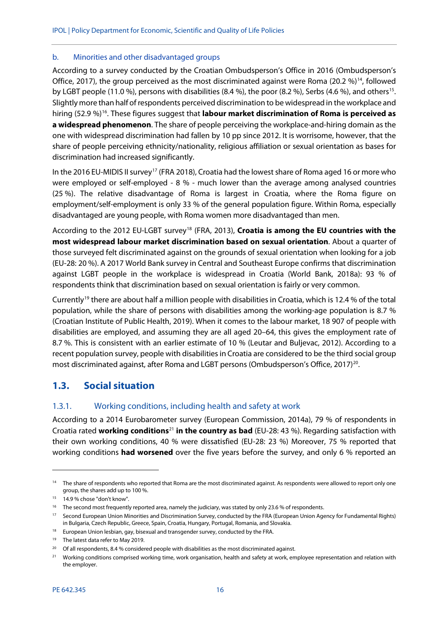#### b. Minorities and other disadvantaged groups

According to a survey conducted by the Croatian Ombudsperson's Office in 2016 (Ombudsperson's Office, 2017), the group perceived as the most discriminated against were Roma (20.2  $\%$ )<sup>14</sup>, followed by LGBT people (11.0 %), persons with disabilities (8.4 %), the poor (8.2 %), Serbs (4.6 %), and others<sup>15</sup>. Slightly more than half of respondents perceived discrimination to be widespread in the workplace and hiring (52.9 %)<sup>16</sup>. These figures suggest that **labour market discrimination of Roma is perceived as a widespread phenomenon**. The share of people perceiving the workplace-and-hiring domain as the one with widespread discrimination had fallen by 10 pp since 2012. It is worrisome, however, that the share of people perceiving ethnicity/nationality, religious affiliation or sexual orientation as bases for discrimination had increased significantly.

In the 2016 EU-MIDIS II survey<sup>[17](#page-17-5)</sup> (FRA 2018), Croatia had the lowest share of Roma aged 16 or more who were employed or self-employed - 8 % - much lower than the average among analysed countries (25 %). The relative disadvantage of Roma is largest in Croatia, where the Roma figure on employment/self-employment is only 33 % of the general population figure. Within Roma, especially disadvantaged are young people, with Roma women more disadvantaged than men.

According to the 2012 EU-LGBT survey[18](#page-17-6) (FRA, 2013), **Croatia is among the EU countries with the most widespread labour market discrimination based on sexual orientation**. About a quarter of those surveyed felt discriminated against on the grounds of sexual orientation when looking for a job (EU-28: 20 %). A 2017 World Bank survey in Central and Southeast Europe confirms that discrimination against LGBT people in the workplace is widespread in Croatia (World Bank, 2018a): 93 % of respondents think that discrimination based on sexual orientation is fairly or very common.

Currently<sup>[19](#page-17-7)</sup> there are about half a million people with disabilities in Croatia, which is 12.4 % of the total population, while the share of persons with disabilities among the working-age population is 8.7 % (Croatian Institute of Public Health, 2019). When it comes to the labour market, 18 907 of people with disabilities are employed, and assuming they are all aged 20–64, this gives the employment rate of 8.7 %. This is consistent with an earlier estimate of 10 % (Leutar and Buljevac, 2012). According to a recent population survey, people with disabilities in Croatia are considered to be the third social group most discriminated against, after Roma and LGBT persons (Ombudsperson's Office, 2017)<sup>20</sup>.

## <span id="page-17-0"></span>**1.3. Social situation**

#### <span id="page-17-1"></span>1.3.1. Working conditions, including health and safety at work

According to a 2014 Eurobarometer survey (European Commission, 2014a), 79 % of respondents in Croatia rated **working conditions**[21](#page-17-9) **in the country as bad** (EU-28: 43 %). Regarding satisfaction with their own working conditions, 40 % were dissatisfied (EU-28: 23 %) Moreover, 75 % reported that working conditions **had worsened** over the five years before the survey, and only 6 % reported an

**.** 

<span id="page-17-2"></span><sup>&</sup>lt;sup>14</sup> The share of respondents who reported that Roma are the most discriminated against. As respondents were allowed to report only one group, the shares add up to 100 %.

<sup>15 14.9 %</sup> chose "don't know".

<span id="page-17-4"></span><span id="page-17-3"></span><sup>&</sup>lt;sup>16</sup> The second most frequently reported area, namely the judiciary, was stated by only 23.6 % of respondents.

<span id="page-17-5"></span><sup>17</sup> Second European Union Minorities and Discrimination Survey, conducted by the FRA (European Union Agency for Fundamental Rights) in Bulgaria, Czech Republic, Greece, Spain, Croatia, Hungary, Portugal, Romania, and Slovakia.

<span id="page-17-6"></span><sup>&</sup>lt;sup>18</sup> European Union lesbian, gay, bisexual and transgender survey, conducted by the FRA.

<sup>&</sup>lt;sup>19</sup> The latest data refer to May 2019.

<span id="page-17-8"></span><span id="page-17-7"></span> $20$  Of all respondents, 8.4 % considered people with disabilities as the most discriminated against.

<span id="page-17-9"></span><sup>&</sup>lt;sup>21</sup> Working conditions comprised working time, work organisation, health and safety at work, employee representation and relation with the employer.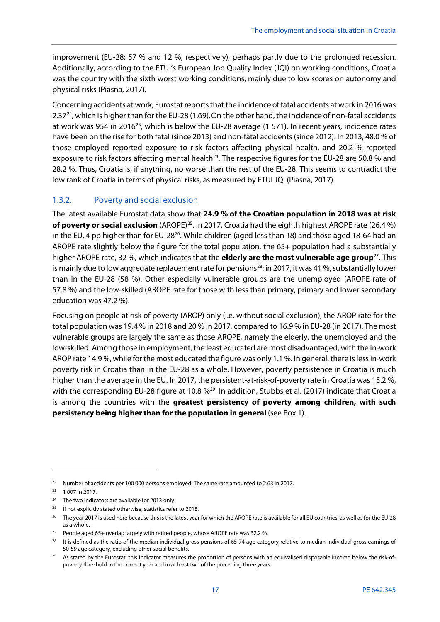improvement (EU-28: 57 % and 12 %, respectively), perhaps partly due to the prolonged recession. Additionally, according to the ETUI's European Job Quality Index (JQI) on working conditions, Croatia was the country with the sixth worst working conditions, mainly due to low scores on autonomy and physical risks (Piasna, 2017).

Concerning accidents at work, Eurostat reports that the incidence of fatal accidents at work in 2016 was 2.37 $^{22}$  $^{22}$  $^{22}$ , which is higher than for the EU-28 (1.69). On the other hand, the incidence of non-fatal accidents at work was 954 in 2016<sup>23</sup>, which is below the EU-28 average (1 571). In recent years, incidence rates have been on the rise for both fatal (since 2013) and non-fatal accidents (since 2012). In 2013, 48.0 % of those employed reported exposure to risk factors affecting physical health, and 20.2 % reported exposure to risk factors affecting mental health<sup>24</sup>. The respective figures for the EU-28 are 50.8 % and 28.2 %. Thus, Croatia is, if anything, no worse than the rest of the EU-28. This seems to contradict the low rank of Croatia in terms of physical risks, as measured by ETUI JQI (Piasna, 2017).

### <span id="page-18-0"></span>1.3.2. Poverty and social exclusion

The latest available Eurostat data show that **24.9 % of the Croatian population in 2018 was at risk of poverty or social exclusion** (AROPE)<sup>25</sup>. In 2017, Croatia had the eighth highest AROPE rate (26.4 %) in the EU, 4 pp higher than for EU-28<sup>26</sup>. While children (aged less than 18) and those aged 18-64 had an AROPE rate slightly below the figure for the total population, the 65+ population had a substantially higher AROPE rate, 32 %, which indicates that the **elderly are the most vulnerable age group**[27.](#page-18-6) This is mainly due to low aggregate replacement rate for pensions<sup>28</sup>: in 2017, it was 41 %, substantially lower than in the EU-28 (58 %). Other especially vulnerable groups are the unemployed (AROPE rate of 57.8 %) and the low-skilled (AROPE rate for those with less than primary, primary and lower secondary education was 47.2 %).

Focusing on people at risk of poverty (AROP) only (i.e. without social exclusion), the AROP rate for the total population was 19.4 % in 2018 and 20 % in 2017, compared to 16.9 % in EU-28 (in 2017). The most vulnerable groups are largely the same as those AROPE, namely the elderly, the unemployed and the low-skilled. Among those in employment, the least educated are most disadvantaged, with the in-work AROP rate 14.9 %, while for the most educated the figure was only 1.1 %. In general, there is less in-work poverty risk in Croatia than in the EU-28 as a whole. However, poverty persistence in Croatia is much higher than the average in the EU. In 2017, the persistent-at-risk-of-poverty rate in Croatia was 15.2 %, with the corresponding EU-28 figure at 10.8 %<sup>[29](#page-18-8)</sup>. In addition, Stubbs et al. (2017) indicate that Croatia is among the countries with the **greatest persistency of poverty among children, with such persistency being higher than for the population in general** (see Box 1).

**.** 

<span id="page-18-1"></span><sup>&</sup>lt;sup>22</sup> Number of accidents per 100 000 persons employed. The same rate amounted to 2.63 in 2017.

<span id="page-18-2"></span><sup>23</sup> 1 007 in 2017.

<span id="page-18-3"></span><sup>24</sup> The two indicators are available for 2013 only.

<span id="page-18-4"></span><sup>25</sup> If not explicitly stated otherwise, statistics refer to 2018.

<span id="page-18-5"></span><sup>&</sup>lt;sup>26</sup> The year 2017 is used here because this is the latest year for which the AROPE rate is available for all EU countries, as well as for the EU-28 as a whole.

<span id="page-18-6"></span><sup>&</sup>lt;sup>27</sup> People aged 65+ overlap largely with retired people, whose AROPE rate was 32.2 %.

<span id="page-18-7"></span> $28$  It is defined as the ratio of the median individual gross pensions of 65-74 age category relative to median individual gross earnings of 50-59 age category, excluding other social benefits.

<span id="page-18-8"></span><sup>&</sup>lt;sup>29</sup> As stated by the Eurostat, this indicator measures the proportion of persons with an equivalised disposable income below the risk-ofpoverty threshold in the current year and in at least two of the preceding three years.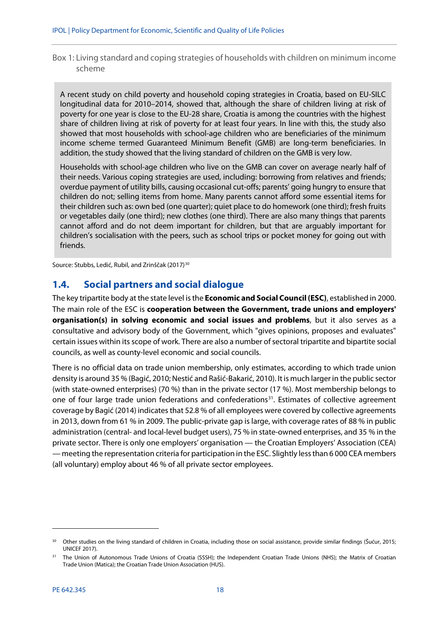<span id="page-19-1"></span>Box 1: Living standard and coping strategies of households with children on minimum income scheme

A recent study on child poverty and household coping strategies in Croatia, based on EU-SILC longitudinal data for 2010–2014, showed that, although the share of children living at risk of poverty for one year is close to the EU-28 share, Croatia is among the countries with the highest share of children living at risk of poverty for at least four years. In line with this, the study also showed that most households with school-age children who are beneficiaries of the minimum income scheme termed Guaranteed Minimum Benefit (GMB) are long-term beneficiaries. In addition, the study showed that the living standard of children on the GMB is very low.

Households with school-age children who live on the GMB can cover on average nearly half of their needs. Various coping strategies are used, including: borrowing from relatives and friends; overdue payment of utility bills, causing occasional cut-offs; parents' going hungry to ensure that children do not; selling items from home. Many parents cannot afford some essential items for their children such as: own bed (one quarter); quiet place to do homework (one third); fresh fruits or vegetables daily (one third); new clothes (one third). There are also many things that parents cannot afford and do not deem important for children, but that are arguably important for children's socialisation with the peers, such as school trips or pocket money for going out with friends.

Source: Stubbs, Ledić, Rubil, and Zrinščak (2017)<sup>[30](#page-19-2)</sup>

## <span id="page-19-0"></span>**1.4. Social partners and social dialogue**

The key tripartite body at the state level is the **Economic and Social Council (ESC)**, established in 2000. The main role of the ESC is **cooperation between the Government, trade unions and employers' organisation(s) in solving economic and social issues and problems**, but it also serves as a consultative and advisory body of the Government, which "gives opinions, proposes and evaluates" certain issues within its scope of work. There are also a number of sectoral tripartite and bipartite social councils, as well as county-level economic and social councils.

There is no official data on trade union membership, only estimates, according to which trade union density is around 35 % (Bagić, 2010; Nestić and Rašić-Bakarić, 2010). It is much larger in the public sector (with state-owned enterprises) (70 %) than in the private sector (17 %). Most membership belongs to one of four large trade union federations and confederations<sup>31</sup>. Estimates of collective agreement coverage by Bagić (2014) indicates that 52.8 % of all employees were covered by collective agreements in 2013, down from 61 % in 2009. The public-private gap is large, with coverage rates of 88 % in public administration (central- and local-level budget users), 75 % in state-owned enterprises, and 35 % in the private sector. There is only one employers' organisation — the Croatian Employers' Association (CEA) —meeting the representation criteria for participation in the ESC. Slightly less than 6 000 CEA members (all voluntary) employ about 46 % of all private sector employees.

<span id="page-19-2"></span><sup>&</sup>lt;sup>30</sup> Other studies on the living standard of children in Croatia, including those on social assistance, provide similar findings (Šućur, 2015; UNICEF 2017).

<span id="page-19-3"></span><sup>&</sup>lt;sup>31</sup> The Union of Autonomous Trade Unions of Croatia (SSSH); the Independent Croatian Trade Unions (NHS); the Matrix of Croatian Trade Union (Matica); the Croatian Trade Union Association (HUS).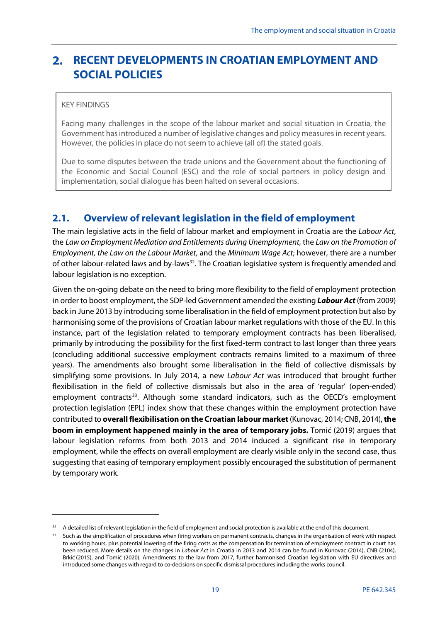#### <span id="page-20-0"></span> $2.$ **RECENT DEVELOPMENTS IN CROATIAN EMPLOYMENT AND SOCIAL POLICIES**

#### KEY FINDINGS

**.** 

Facing many challenges in the scope of the labour market and social situation in Croatia, the Government has introduced a number of legislative changes and policy measures in recent years. However, the policies in place do not seem to achieve (all of) the stated goals.

Due to some disputes between the trade unions and the Government about the functioning of the Economic and Social Council (ESC) and the role of social partners in policy design and implementation, social dialogue has been halted on several occasions.

## <span id="page-20-1"></span>**2.1. Overview of relevant legislation in the field of employment**

The main legislative acts in the field of labour market and employment in Croatia are the *Labour Act*, the *Law on Employment Mediation and Entitlements during Unemployment*, the *Law on the Promotion of Employment, the Law on the Labour Market*, and the *Minimum Wage Act*; however, there are a number of other labour-related laws and by-laws[32](#page-20-2). The Croatian legislative system is frequently amended and labour legislation is no exception.

Given the on-going debate on the need to bring more flexibility to the field of employment protection in order to boost employment, the SDP-led Government amended the existing *Labour Act* (from 2009) back in June 2013 by introducing some liberalisation in the field of employment protection but also by harmonising some of the provisions of Croatian labour market regulations with those of the EU. In this instance, part of the legislation related to temporary employment contracts has been liberalised, primarily by introducing the possibility for the first fixed-term contract to last longer than three years (concluding additional successive employment contracts remains limited to a maximum of three years). The amendments also brought some liberalisation in the field of collective dismissals by simplifying some provisions. In July 2014, a new *Labour Act* was introduced that brought further flexibilisation in the field of collective dismissals but also in the area of 'regular' (open-ended) employment contracts<sup>33</sup>. Although some standard indicators, such as the OECD's employment protection legislation (EPL) index show that these changes within the employment protection have contributed to **overall flexibilisation on the Croatian labour market**(Kunovac, 2014; CNB, 2014), **the boom in employment happened mainly in the area of temporary jobs.** Tomić (2019) argues that labour legislation reforms from both 2013 and 2014 induced a significant rise in temporary employment, while the effects on overall employment are clearly visible only in the second case, thus suggesting that easing of temporary employment possibly encouraged the substitution of permanent by temporary work.

<span id="page-20-2"></span><sup>&</sup>lt;sup>32</sup> A detailed list of relevant legislation in the field of employment and social protection is available at the end of this document.

<span id="page-20-3"></span><sup>&</sup>lt;sup>33</sup> Such as the simplification of procedures when firing workers on permanent contracts, changes in the organisation of work with respect to working hours, plus potential lowering of the firing costs as the compensation for termination of employment contract in court has been reduced. More details on the changes in *Labour Act* in Croatia in 2013 and 2014 can be found in Kunovac (2014), CNB (2104), Brkić (2015), and Tomić (2020). Amendments to the law from 2017, further harmonised Croatian legislation with EU directives and introduced some changes with regard to co-decisions on specific dismissal procedures including the works council.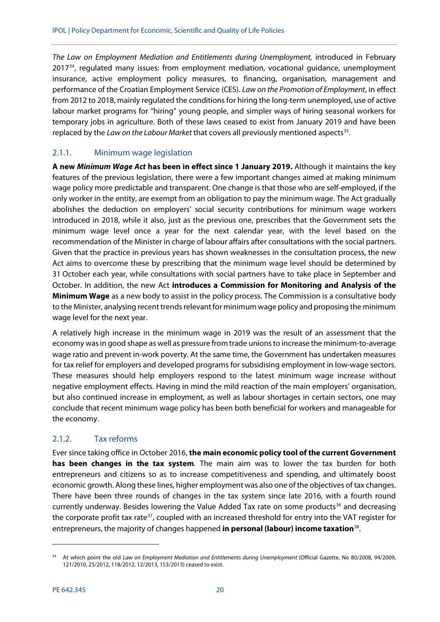*The Law on Employment Mediation and Entitlements during Unemployment,* introduced in February 2017<sup>34</sup>, regulated many issues: from employment mediation, vocational guidance, unemployment insurance, active employment policy measures, to financing, organisation, management and performance of the Croatian Employment Service (CES). *Law on the Promotion of Employment*, in effect from 2012 to 2018, mainly regulated the conditions for hiring the long-term unemployed, use of active labour market programs for "hiring" young people, and simpler ways of hiring seasonal workers for temporary jobs in agriculture. Both of these laws ceased to exist from January 2019 and have been replaced by the *Law on the Labour Market* that covers all previously mentioned aspects<sup>[35](#page-21-3)</sup>.

## <span id="page-21-0"></span>2.1.1. Minimum wage legislation

**A new** *Minimum Wage Act* **has been in effect since 1 January 2019.** Although it maintains the key features of the previous legislation, there were a few important changes aimed at making minimum wage policy more predictable and transparent. One change is that those who are self-employed, if the only worker in the entity, are exempt from an obligation to pay the minimum wage. The Act gradually abolishes the deduction on employers' social security contributions for minimum wage workers introduced in 2018, while it also, just as the previous one, prescribes that the Government sets the minimum wage level once a year for the next calendar year, with the level based on the recommendation of the Minister in charge of labour affairs after consultations with the social partners. Given that the practice in previous years has shown weaknesses in the consultation process, the new Act aims to overcome these by prescribing that the minimum wage level should be determined by 31 October each year, while consultations with social partners have to take place in September and October. In addition, the new Act **introduces a Commission for Monitoring and Analysis of the Minimum Wage** as a new body to assist in the policy process. The Commission is a consultative body to the Minister, analysing recent trends relevant for minimum wage policy and proposing the minimum wage level for the next year.

A relatively high increase in the minimum wage in 2019 was the result of an assessment that the economy was in good shape as well as pressure from trade unions to increase the minimum-to-average wage ratio and prevent in-work poverty. At the same time, the Government has undertaken measures for tax relief for employers and developed programs for subsidising employment in low-wage sectors. These measures should help employers respond to the latest minimum wage increase without negative employment effects. Having in mind the mild reaction of the main employers' organisation, but also continued increase in employment, as well as labour shortages in certain sectors, one may conclude that recent minimum wage policy has been both beneficial for workers and manageable for the economy.

## <span id="page-21-1"></span>2.1.2. Tax reforms

<span id="page-21-5"></span><span id="page-21-4"></span><span id="page-21-3"></span>Ever since taking office in October 2016, **the main economic policy tool of the current Government has been changes in the tax system**. The main aim was to lower the tax burden for both entrepreneurs and citizens so as to increase competitiveness and spending, and ultimately boost economic growth. Along these lines, higher employment was also one of the objectives of tax changes. There have been three rounds of changes in the tax system since late 2016, with a fourth round currently underway. Besides lowering the Value Added Tax rate on some products<sup>[36](#page-21-4)</sup> and decreasing the corporate profit tax rate<sup>37</sup>, coupled with an increased threshold for entry into the VAT register for entrepreneurs, the majority of changes happened **in personal (labour) income taxation**[38](#page-21-6).

<span id="page-21-6"></span>-

<span id="page-21-2"></span><sup>&</sup>lt;sup>34</sup> At which point the old *Law on Employment Mediation and Entitlements during Unemployment (Official Gazette, No 80/2008, 94/2009,* 121/2010, 25/2012, 118/2012, 12/2013, 153/2013) ceased to exist.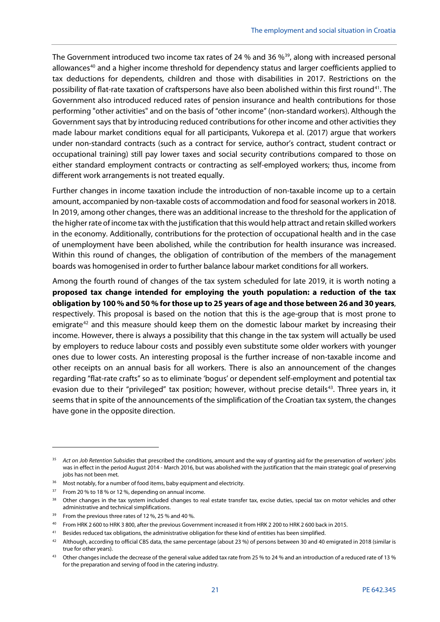The Government introduced two income tax rates of 24 % and 36 %<sup>39</sup>, along with increased personal allowances<sup>[40](#page-22-1)</sup> and a higher income threshold for dependency status and larger coefficients applied to tax deductions for dependents, children and those with disabilities in 2017. Restrictions on the possibility of flat-rate taxation of craftspersons have also been abolished within this first round<sup>41</sup>. The Government also introduced reduced rates of pension insurance and health contributions for those performing "other activities" and on the basis of "other income" (non-standard workers). Although the Government says that by introducing reduced contributions for other income and other activities they made labour market conditions equal for all participants, Vukorepa et al. (2017) argue that workers under non-standard contracts (such as a contract for service, author's contract, student contract or occupational training) still pay lower taxes and social security contributions compared to those on either standard employment contracts or contracting as self-employed workers; thus, income from different work arrangements is not treated equally.

Further changes in income taxation include the introduction of non-taxable income up to a certain amount, accompanied by non-taxable costs of accommodation and food for seasonal workers in 2018. In 2019, among other changes, there was an additional increase to the threshold for the application of the higher rate of income tax with the justification that this would help attract and retain skilled workers in the economy. Additionally, contributions for the protection of occupational health and in the case of unemployment have been abolished, while the contribution for health insurance was increased. Within this round of changes, the obligation of contribution of the members of the management boards was homogenised in order to further balance labour market conditions for all workers.

Among the fourth round of changes of the tax system scheduled for late 2019, it is worth noting a **proposed tax change intended for employing the youth population: a reduction of the tax obligation by 100 % and 50 % for those up to 25 years of age and those between 26 and 30 years**, respectively. This proposal is based on the notion that this is the age-group that is most prone to emigrate<sup>[42](#page-22-3)</sup> and this measure should keep them on the domestic labour market by increasing their income. However, there is always a possibility that this change in the tax system will actually be used by employers to reduce labour costs and possibly even substitute some older workers with younger ones due to lower costs. An interesting proposal is the further increase of non-taxable income and other receipts on an annual basis for all workers. There is also an announcement of the changes regarding "flat-rate crafts" so as to eliminate 'bogus' or dependent self-employment and potential tax evasion due to their "privileged" tax position; however, without precise details<sup>43</sup>. Three years in, it seems that in spite of the announcements of the simplification of the Croatian tax system, the changes have gone in the opposite direction.

<sup>35</sup> *Act on Job Retention Subsidies* that prescribed the conditions, amount and the way of granting aid for the preservation of workers' jobs was in effect in the period August 2014 - March 2016, but was abolished with the justification that the main strategic goal of preserving jobs has not been met.

<sup>&</sup>lt;sup>36</sup> Most notably, for a number of food items, baby equipment and electricity.

<sup>&</sup>lt;sup>37</sup> From 20 % to 18 % or 12 %, depending on annual income.

<sup>38</sup> Other changes in the tax system included changes to real estate transfer tax, excise duties, special tax on motor vehicles and other administrative and technical simplifications.

<span id="page-22-0"></span><sup>&</sup>lt;sup>39</sup> From the previous three rates of 12 %, 25 % and 40 %.

<span id="page-22-1"></span><sup>40</sup> From HRK 2 600 to HRK 3 800, after the previous Government increased it from HRK 2 200 to HRK 2 600 back in 2015.

<span id="page-22-2"></span><sup>&</sup>lt;sup>41</sup> Besides reduced tax obligations, the administrative obligation for these kind of entities has been simplified.

<span id="page-22-3"></span><sup>42</sup> Although, according to official CBS data, the same percentage (about 23 %) of persons between 30 and 40 emigrated in 2018 (similar is true for other years).

<span id="page-22-4"></span><sup>43</sup> Other changes include the decrease of the general value added tax rate from 25 % to 24 % and an introduction of a reduced rate of 13 % for the preparation and serving of food in the catering industry.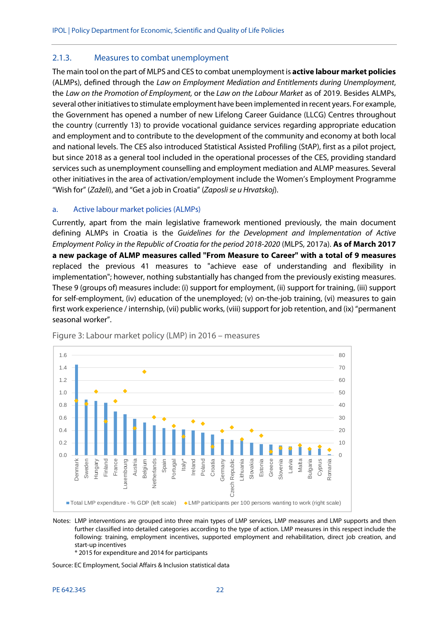#### <span id="page-23-0"></span>2.1.3. Measures to combat unemployment

The main tool on the part of MLPS and CES to combat unemployment is **active labour market policies** (ALMPs), defined through the *Law on Employment Mediation and Entitlements during Unemployment*, the *Law on the Promotion of Employment,* or the *Law on the Labour Market* as of 2019. Besides ALMPs, several other initiatives to stimulate employment have been implemented in recent years. For example, the Government has opened a number of new Lifelong Career Guidance (LLCG) Centres throughout the country (currently 13) to provide vocational guidance services regarding appropriate education and employment and to contribute to the development of the community and economy at both local and national levels. The CES also introduced Statistical Assisted Profiling (StAP), first as a pilot project, but since 2018 as a general tool included in the operational processes of the CES, providing standard services such as unemployment counselling and employment mediation and ALMP measures. Several other initiatives in the area of activation/employment include the Women's Employment Programme "Wish for" (*Zaželi*), and "Get a job in Croatia" (*Zaposli se u Hrvatskoj*).

#### a. Active labour market policies (ALMPs)

Currently, apart from the main legislative framework mentioned previously, the main document defining ALMPs in Croatia is the *Guidelines for the Development and Implementation of Active Employment Policy in the Republic of Croatia for the period 2018-2020* (MLPS, 2017a). **As of March 2017 a new package of ALMP measures called "From Measure to Career" with a total of 9 measures** replaced the previous 41 measures to "achieve ease of understanding and flexibility in implementation"; however, nothing substantially has changed from the previously existing measures. These 9 (groups of) measures include: (i) support for employment, (ii) support for training, (iii) support for self-employment, (iv) education of the unemployed; (v) on-the-job training, (vi) measures to gain first work experience / internship, (vii) public works, (viii) support for job retention, and (ix) "permanent seasonal worker".



<span id="page-23-1"></span>Figure 3: Labour market policy (LMP) in 2016 – measures

Notes: LMP interventions are grouped into three main types of LMP services, LMP measures and LMP supports and then further classified into detailed categories according to the type of action. LMP measures in this respect include the following: training, employment incentives, supported employment and rehabilitation, direct job creation, and start-up incentives

\* 2015 for expenditure and 2014 for participants

Source: EC Employment, Social Affairs & Inclusion statistical data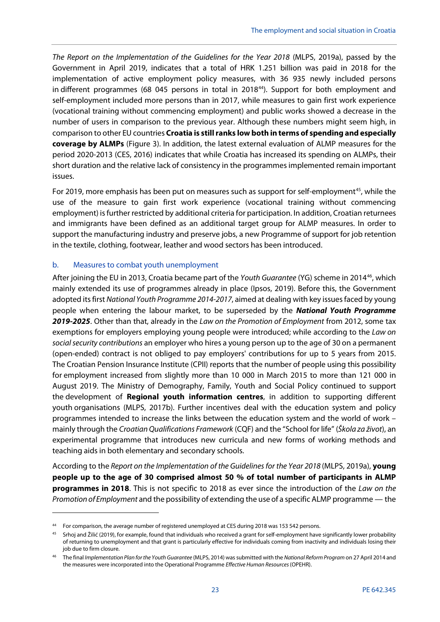*The Report on the Implementation of the Guidelines for the Year 2018* (MLPS, 2019a), passed by the Government in April 2019, indicates that a total of HRK 1.251 billion was paid in 2018 for the implementation of active employment policy measures, with 36 935 newly included persons in different programmes (68 045 persons in total in 2018<sup>44</sup>). Support for both employment and self-employment included more persons than in 2017, while measures to gain first work experience (vocational training without commencing employment) and public works showed a decrease in the number of users in comparison to the previous year. Although these numbers might seem high, in comparison to other EU countries **Croatia is still ranks low both in terms of spending and especially coverage by ALMPs** (Figure 3). In addition, the latest external evaluation of ALMP measures for the period 2020-2013 (CES, 2016) indicates that while Croatia has increased its spending on ALMPs, their short duration and the relative lack of consistency in the programmes implemented remain important issues.

For 2019, more emphasis has been put on measures such as support for self-employment<sup>[45](#page-24-1)</sup>, while the use of the measure to gain first work experience (vocational training without commencing employment) isfurther restricted by additional criteria for participation. In addition, Croatian returnees and immigrants have been defined as an additional target group for ALMP measures. In order to support the manufacturing industry and preserve jobs, a new Programme of support for job retention in the textile, clothing, footwear, leather and wood sectors has been introduced.

#### b. Measures to combat youth unemployment

1

After joining the EU in 2013, Croatia became part of the *Youth Guarantee* (YG) scheme in 2014[46](#page-24-2), which mainly extended its use of programmes already in place (Ipsos, 2019). Before this, the Government adopted its first *National Youth Programme 2014-2017*, aimed at dealing with key issues faced by young people when entering the labour market, to be superseded by the *National Youth Programme 2019-2025*. Other than that, already in the *Law on the Promotion of Employment* from 2012, some tax exemptions for employers employing young people were introduced; while according to the *Law on social security contributions* an employer who hires a young person up to the age of 30 on a permanent (open-ended) contract is not obliged to pay employers' contributions for up to 5 years from 2015. The Croatian Pension Insurance Institute (CPII) reports that the number of people using this possibility for employment increased from slightly more than 10 000 in March 2015 to more than 121 000 in August 2019. The Ministry of Demography, Family, Youth and Social Policy continued to support the development of **Regional youth information centres**, in addition to supporting different youth organisations (MLPS, 2017b). Further incentives deal with the education system and policy programmes intended to increase the links between the education system and the world of work – mainly through the *Croatian Qualifications Framework* (CQF) and the "School for life" (*Škola za život*), an experimental programme that introduces new curricula and new forms of working methods and teaching aids in both elementary and secondary schools.

According to the *Report on the Implementation of the Guidelines for the Year 2018* (MLPS, 2019a), **young people up to the age of 30 comprised almost 50 % of total number of participants in ALMP programmes in 2018**. This is not specific to 2018 as ever since the introduction of the *Law on the Promotion of Employment* and the possibility of extending the use of a specific ALMP programme — the

<span id="page-24-0"></span><sup>44</sup> For comparison, the average number of registered unemployed at CES during 2018 was 153 542 persons.

<span id="page-24-1"></span><sup>&</sup>lt;sup>45</sup> Srhoj and Žilić (2019), for example, found that individuals who received a grant for self-employment have significantly lower probability of returning to unemployment and that grant is particularly effective for individuals coming from inactivity and individuals losing their job due to firm closure.

<span id="page-24-2"></span><sup>46</sup> The final *Implementation Plan for the Youth Guarantee* (MLPS, 2014) was submitted with the *National Reform Program* on 27 April 2014 and the measures were incorporated into the Operational Programme *Effective Human Resources* (OPEHR).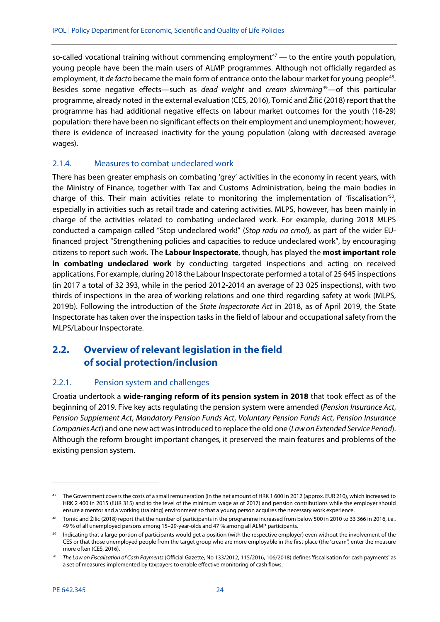so-called vocational training without commencing employment<sup>[47](#page-25-3)</sup> — to the entire youth population, young people have been the main users of ALMP programmes. Although not officially regarded as employment, it *de facto* became the main form of entrance onto the labour market for young people<sup>[48](#page-25-4)</sup>. Besides some negative effects—such as *dead weight* and *cream skimming*[49](#page-25-5)—of this particular programme, already noted in the external evaluation (CES, 2016), Tomić and Žilić (2018) report that the programme has had additional negative effects on labour market outcomes for the youth (18-29) population: there have been no significant effects on their employment and unemployment; however, there is evidence of increased inactivity for the young population (along with decreased average wages).

#### <span id="page-25-0"></span>2.1.4. Measures to combat undeclared work

There has been greater emphasis on combating 'grey' activities in the economy in recent years, with the Ministry of Finance, together with Tax and Customs Administration, being the main bodies in charge of this. Their main activities relate to monitoring the implementation of 'fiscalisation'[50](#page-25-6), especially in activities such as retail trade and catering activities. MLPS, however, has been mainly in charge of the activities related to combating undeclared work. For example, during 2018 MLPS conducted a campaign called "Stop undeclared work!" (*Stop radu na crno!*), as part of the wider EUfinanced project "Strengthening policies and capacities to reduce undeclared work", by encouraging citizens to report such work. The **Labour Inspectorate**, though, has played the **most important role in combating undeclared work** by conducting targeted inspections and acting on received applications. For example, during 2018 the Labour Inspectorate performed a total of 25 645 inspections (in 2017 a total of 32 393, while in the period 2012-2014 an average of 23 025 inspections), with two thirds of inspections in the area of working relations and one third regarding safety at work (MLPS, 2019b). Following the introduction of the *State Inspectorate Act* in 2018, as of April 2019, the State Inspectorate has taken over the inspection tasks in the field of labour and occupational safety from the MLPS/Labour Inspectorate.

# <span id="page-25-1"></span>**2.2. Overview of relevant legislation in the field of social protection/inclusion**

## <span id="page-25-2"></span>2.2.1. Pension system and challenges

Croatia undertook a **wide-ranging reform of its pension system in 2018** that took effect as of the beginning of 2019. Five key acts regulating the pension system were amended (*Pension Insurance Act*, *Pension Supplement Act*, *Mandatory Pension Funds Act*, *Voluntary Pension Funds Act*, *Pension Insurance Companies Act*) and one new act was introduced to replace the old one (*Law on Extended Service Period*). Although the reform brought important changes, it preserved the main features and problems of the existing pension system.

<span id="page-25-3"></span><sup>47</sup> The Government covers the costs of a small remuneration (in the net amount of HRK 1 600 in 2012 (approx. EUR 210), which increased to HRK 2 400 in 2015 (EUR 315) and to the level of the minimum wage as of 2017) and pension contributions while the employer should ensure a mentor and a working (training) environment so that a young person acquires the necessary work experience.

<span id="page-25-4"></span><sup>&</sup>lt;sup>48</sup> Tomić and Žilić (2018) report that the number of participants in the programme increased from below 500 in 2010 to 33 366 in 2016, i.e., 49 % of all unemployed persons among 15–29-year-olds and 47 % among all ALMP participants.

<span id="page-25-5"></span><sup>49</sup> Indicating that a large portion of participants would get a position (with the respective employer) even without the involvement of the CES or that those unemployed people from the target group who are more employable in the first place (the 'cream') enter the measure more often (CES, 2016).

<span id="page-25-6"></span><sup>50</sup> *The Law on Fiscalisation of Cash Payments* (Official Gazette, No 133/2012, 115/2016, 106/2018) defines 'fiscalisation for cash payments' as a set of measures implemented by taxpayers to enable effective monitoring of cash flows.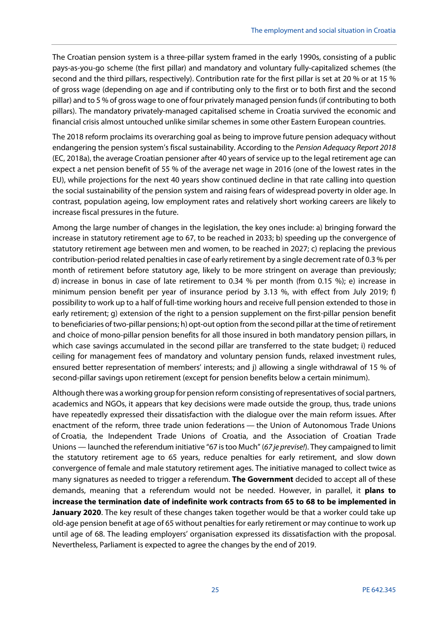The Croatian pension system is a three-pillar system framed in the early 1990s, consisting of a public pays-as-you-go scheme (the first pillar) and mandatory and voluntary fully-capitalized schemes (the second and the third pillars, respectively). Contribution rate for the first pillar is set at 20 % or at 15 % of gross wage (depending on age and if contributing only to the first or to both first and the second pillar) and to 5 % of gross wage to one of four privately managed pension funds (if contributing to both pillars). The mandatory privately-managed capitalised scheme in Croatia survived the economic and financial crisis almost untouched unlike similar schemes in some other Eastern European countries.

The 2018 reform proclaims its overarching goal as being to improve future pension adequacy without endangering the pension system's fiscal sustainability. According to the *Pension Adequacy Report 2018* (EC, 2018a), the average Croatian pensioner after 40 years of service up to the legal retirement age can expect a net pension benefit of 55 % of the average net wage in 2016 (one of the lowest rates in the EU), while projections for the next 40 years show continued decline in that rate calling into question the social sustainability of the pension system and raising fears of widespread poverty in older age. In contrast, population ageing, low employment rates and relatively short working careers are likely to increase fiscal pressures in the future.

Among the large number of changes in the legislation, the key ones include: a) bringing forward the increase in statutory retirement age to 67, to be reached in 2033; b) speeding up the convergence of statutory retirement age between men and women, to be reached in 2027; c) replacing the previous contribution-period related penalties in case of early retirement by a single decrement rate of 0.3 % per month of retirement before statutory age, likely to be more stringent on average than previously; d) increase in bonus in case of late retirement to 0.34 % per month (from 0.15 %); e) increase in minimum pension benefit per year of insurance period by 3.13 %, with effect from July 2019; f) possibility to work up to a half of full-time working hours and receive full pension extended to those in early retirement; g) extension of the right to a pension supplement on the first-pillar pension benefit to beneficiaries of two-pillar pensions; h) opt-out option from the second pillar at the time of retirement and choice of mono-pillar pension benefits for all those insured in both mandatory pension pillars, in which case savings accumulated in the second pillar are transferred to the state budget; i) reduced ceiling for management fees of mandatory and voluntary pension funds, relaxed investment rules, ensured better representation of members' interests; and j) allowing a single withdrawal of 15 % of second-pillar savings upon retirement (except for pension benefits below a certain minimum).

Although there was a working group for pension reform consisting of representatives of social partners, academics and NGOs, it appears that key decisions were made outside the group, thus, trade unions have repeatedly expressed their dissatisfaction with the dialogue over the main reform issues. After enactment of the reform, three trade union federations — the Union of Autonomous Trade Unions of Croatia, the Independent Trade Unions of Croatia, and the Association of Croatian Trade Unions — launched the referendum initiative "67 is too Much" (*67 je previse!*). They campaigned to limit the statutory retirement age to 65 years, reduce penalties for early retirement, and slow down convergence of female and male statutory retirement ages. The initiative managed to collect twice as many signatures as needed to trigger a referendum. **The Government** decided to accept all of these demands, meaning that a referendum would not be needed. However, in parallel, it **plans to increase the termination date of indefinite work contracts from 65 to 68 to be implemented in January 2020**. The key result of these changes taken together would be that a worker could take up old-age pension benefit at age of 65 without penalties for early retirement or may continue to work up until age of 68. The leading employers' organisation expressed its dissatisfaction with the proposal. Nevertheless, Parliament is expected to agree the changes by the end of 2019.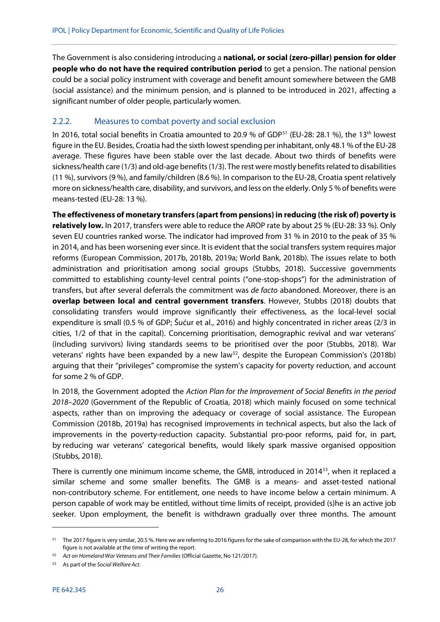The Government is also considering introducing a **national, or social (zero-pillar) pension for older people who do not have the required contribution period** to get a pension. The national pension could be a social policy instrument with coverage and benefit amount somewhere between the GMB (social assistance) and the minimum pension, and is planned to be introduced in 2021, affecting a significant number of older people, particularly women.

#### <span id="page-27-0"></span>2.2.2. Measures to combat poverty and social exclusion

In 2016, total social benefits in Croatia amounted to 20.9 % of GDP<sup>[51](#page-27-1)</sup> (EU-28: 28.1 %), the 13<sup>th</sup> lowest figure in the EU. Besides, Croatia had the sixth lowest spending per inhabitant, only 48.1 % of the EU-28 average. These figures have been stable over the last decade. About two thirds of benefits were sickness/health care (1/3) and old-age benefits (1/3). The rest were mostly benefits related to disabilities (11 %), survivors (9 %), and family/children (8.6 %). In comparison to the EU-28, Croatia spent relatively more on sickness/health care, disability, and survivors, and less on the elderly. Only 5 % of benefits were means-tested (EU-28: 13 %).

**The effectiveness of monetary transfers (apart from pensions) in reducing (the risk of) poverty is relatively low.** In 2017, transfers were able to reduce the AROP rate by about 25 % (EU-28: 33 %). Only seven EU countries ranked worse. The indicator had improved from 31 % in 2010 to the peak of 35 % in 2014, and has been worsening ever since. It is evident that the social transfers system requires major reforms (European Commission, 2017b, 2018b, 2019a; World Bank, 2018b). The issues relate to both administration and prioritisation among social groups (Stubbs, 2018). Successive governments committed to establishing county-level central points ("one-stop-shops") for the administration of transfers, but after several deferrals the commitment was *de facto* abandoned. Moreover, there is an **overlap between local and central government transfers**. However, Stubbs (2018) doubts that consolidating transfers would improve significantly their effectiveness, as the local-level social expenditure is small (0.5 % of GDP; Šućur et al., 2016) and highly concentrated in richer areas (2/3 in cities, 1/2 of that in the capital). Concerning prioritisation, demographic revival and war veterans' (including survivors) living standards seems to be prioritised over the poor (Stubbs, 2018). War veterans' rights have been expanded by a new law $^{52}$ , despite the European Commission's (2018b) arguing that their "privileges" compromise the system's capacity for poverty reduction, and account for some 2 % of GDP.

In 2018, the Government adopted the *Action Plan for the Improvement of Social Benefits in the period 2018–2020* (Government of the Republic of Croatia, 2018) which mainly focused on some technical aspects, rather than on improving the adequacy or coverage of social assistance. The European Commission (2018b, 2019a) has recognised improvements in technical aspects, but also the lack of improvements in the poverty-reduction capacity. Substantial pro-poor reforms, paid for, in part, by reducing war veterans' categorical benefits, would likely spark massive organised opposition (Stubbs, 2018).

There is currently one minimum income scheme, the GMB, introduced in 2014<sup>53</sup>, when it replaced a similar scheme and some smaller benefits. The GMB is a means- and asset-tested national non-contributory scheme. For entitlement, one needs to have income below a certain minimum. A person capable of work may be entitled, without time limits of receipt, provided (s)he is an active job seeker. Upon employment, the benefit is withdrawn gradually over three months. The amount

**.** 

<span id="page-27-1"></span><sup>&</sup>lt;sup>51</sup> The 2017 figure is very similar, 20.5 %. Here we are referring to 2016 figures for the sake of comparison with the EU-28, for which the 2017 figure is not available at the time of writing the report.

<span id="page-27-2"></span><sup>52</sup> *Act on Homeland War Veterans and Their Families* (Official Gazette, No 121/2017).

<span id="page-27-3"></span><sup>53</sup> As part of the *Social Welfare Act*.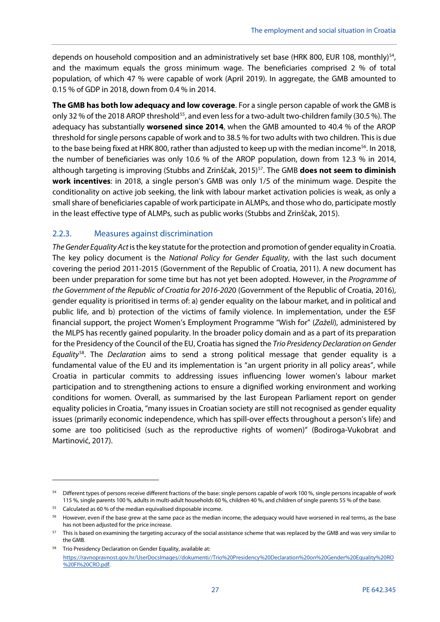depends on household composition and an administratively set base (HRK 800, EUR 108, monthly)<sup>54</sup>, and the maximum equals the gross minimum wage. The beneficiaries comprised 2 % of total population, of which 47 % were capable of work (April 2019). In aggregate, the GMB amounted to 0.15 % of GDP in 2018, down from 0.4 % in 2014.

**The GMB has both low adequacy and low coverage**. For a single person capable of work the GMB is only 32 % of the 2018 AROP threshold<sup>55</sup>, and even less for a two-adult two-children family (30.5 %). The adequacy has substantially **worsened since 2014**, when the GMB amounted to 40.4 % of the AROP threshold for single persons capable of work and to 38.5 % for two adults with two children. This is due to the base being fixed at HRK 800, rather than adjusted to keep up with the median income<sup>56</sup>. In 2018, the number of beneficiaries was only 10.6 % of the AROP population, down from 12.3 % in 2014, although targeting is improving (Stubbs and Zrinščak, 2015)<sup>[57](#page-28-4)</sup>. The GMB **does not seem to diminish work incentives**: in 2018, a single person's GMB was only 1/5 of the minimum wage. Despite the conditionality on active job seeking, the link with labour market activation policies is weak, as only a small share of beneficiaries capable of work participate in ALMPs, and those who do, participate mostly in the least effective type of ALMPs, such as public works (Stubbs and Zrinščak, 2015).

#### <span id="page-28-0"></span>2.2.3. Measures against discrimination

*The Gender Equality Act*is the key statute for the protection and promotion of gender equality in Croatia. The key policy document is the *National Policy for Gender Equality*, with the last such document covering the period 2011-2015 (Government of the Republic of Croatia, 2011). A new document has been under preparation for some time but has not yet been adopted. However, in the *Programme of the Government of the Republic of Croatia for 2016-202*0 (Government of the Republic of Croatia, 2016), gender equality is prioritised in terms of: a) gender equality on the labour market, and in political and public life, and b) protection of the victims of family violence. In implementation, under the ESF financial support, the project Women's Employment Programme "Wish for" (*Zaželi*), administered by the MLPS has recently gained popularity. In the broader policy domain and as a part of its preparation for the Presidency of the Council of the EU, Croatia has signed the *Trio Presidency Declaration on Gender Equality*[58](#page-28-5). The *Declaration* aims to send a strong political message that gender equality is a fundamental value of the EU and its implementation is "an urgent priority in all policy areas", while Croatia in particular commits to addressing issues influencing lower women's labour market participation and to strengthening actions to ensure a dignified working environment and working conditions for women. Overall, as summarised by the last European Parliament report on gender equality policies in Croatia, "many issues in Croatian society are still not recognised as gender equality issues (primarily economic independence, which has spill-over effects throughout a person's life) and some are too politicised (such as the reproductive rights of women)" (Bodiroga-Vukobrat and Martinović, 2017).

**.** 

<span id="page-28-1"></span><sup>&</sup>lt;sup>54</sup> Different types of persons receive different fractions of the base: single persons capable of work 100 %, single persons incapable of work 115 %, single parents 100 %, adults in multi-adult households 60 %, children 40 %, and children of single parents 55 % of the base.

<span id="page-28-2"></span> $55$  Calculated as 60 % of the median equivalised disposable income.

<span id="page-28-3"></span><sup>&</sup>lt;sup>56</sup> However, even if the base grew at the same pace as the median income, the adequacy would have worsened in real terms, as the base has not been adjusted for the price increase.

<span id="page-28-4"></span><sup>&</sup>lt;sup>57</sup> This is based on examining the targeting accuracy of the social assistance scheme that was replaced by the GMB and was very similar to the GMB.

<span id="page-28-5"></span><sup>58</sup> Trio Presidency Declaration on Gender Equality, available at: [https://ravnopravnost.gov.hr/UserDocsImages//dokumenti//Trio%20Presidency%20Declaration%20on%20Gender%20Equality%20RO](https://ravnopravnost.gov.hr/UserDocsImages/dokumenti/Trio%20Presidency%20Declaration%20on%20Gender%20Equality%20RO%20FI%20CRO.pdf) [%20FI%20CRO.pdf.](https://ravnopravnost.gov.hr/UserDocsImages/dokumenti/Trio%20Presidency%20Declaration%20on%20Gender%20Equality%20RO%20FI%20CRO.pdf)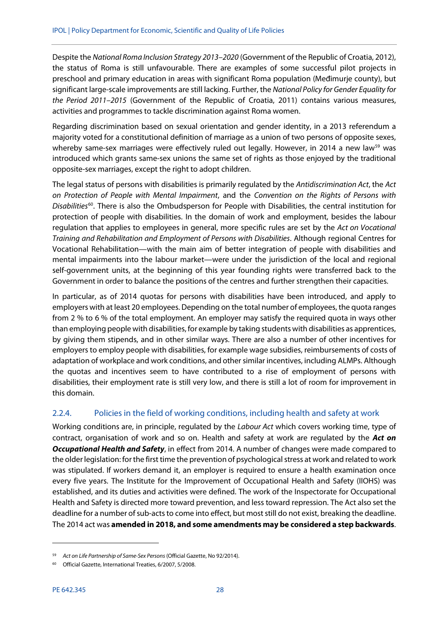Despite the *National Roma Inclusion Strategy 2013–2020* (Government of the Republic of Croatia, 2012), the status of Roma is still unfavourable. There are examples of some successful pilot projects in preschool and primary education in areas with significant Roma population (Međimurje county), but significant large-scale improvements are still lacking. Further, the *National Policy for Gender Equality for the Period 2011–2015* (Government of the Republic of Croatia, 2011) contains various measures, activities and programmes to tackle discrimination against Roma women.

Regarding discrimination based on sexual orientation and gender identity, in a 2013 referendum a majority voted for a constitutional definition of marriage as a union of two persons of opposite sexes, whereby same-sex marriages were effectively ruled out legally. However, in 2014 a new law<sup>[59](#page-29-1)</sup> was introduced which grants same-sex unions the same set of rights as those enjoyed by the traditional opposite-sex marriages, except the right to adopt children.

The legal status of persons with disabilities is primarily regulated by the *Antidiscrimination Act*, the *Act on Protection of People with Mental Impairment*, and the *Convention on the Rights of Persons with Disabilities*[60](#page-29-2). There is also the Ombudsperson for People with Disabilities, the central institution for protection of people with disabilities. In the domain of work and employment, besides the labour regulation that applies to employees in general, more specific rules are set by the *Act on Vocational Training and Rehabilitation and Employment of Persons with Disabilities*. Although regional Centres for Vocational Rehabilitation—with the main aim of better integration of people with disabilities and mental impairments into the labour market—were under the jurisdiction of the local and regional self-government units, at the beginning of this year founding rights were transferred back to the Government in order to balance the positions of the centres and further strengthen their capacities.

In particular, as of 2014 quotas for persons with disabilities have been introduced, and apply to employers with at least 20 employees. Depending on the total number of employees, the quota ranges from 2 % to 6 % of the total employment. An employer may satisfy the required quota in ways other than employing people with disabilities, for example by taking students with disabilities as apprentices, by giving them stipends, and in other similar ways. There are also a number of other incentives for employers to employ people with disabilities, for example wage subsidies, reimbursements of costs of adaptation of workplace and work conditions, and other similar incentives, including ALMPs. Although the quotas and incentives seem to have contributed to a rise of employment of persons with disabilities, their employment rate is still very low, and there is still a lot of room for improvement in this domain.

#### <span id="page-29-0"></span>2.2.4. Policies in the field of working conditions, including health and safety at work

Working conditions are, in principle, regulated by the *Labour Act* which covers working time, type of contract, organisation of work and so on. Health and safety at work are regulated by the *Act on Occupational Health and Safety*, in effect from 2014. A number of changes were made compared to the older legislation: for the first time the prevention of psychological stress at work and related to work was stipulated. If workers demand it, an employer is required to ensure a health examination once every five years. The Institute for the Improvement of Occupational Health and Safety (IIOHS) was established, and its duties and activities were defined. The work of the Inspectorate for Occupational Health and Safety is directed more toward prevention, and less toward repression. The Act also set the deadline for a number of sub-acts to come into effect, but most still do not exist, breaking the deadline. The 2014 act was **amended in 2018, and some amendments may be considered a step backwards**.

<span id="page-29-1"></span><sup>59</sup> *Act on Life Partnership of Same-Sex Persons* (Official Gazette, No 92/2014).

<span id="page-29-2"></span><sup>60</sup> Official Gazette, International Treaties, 6/2007, 5/2008.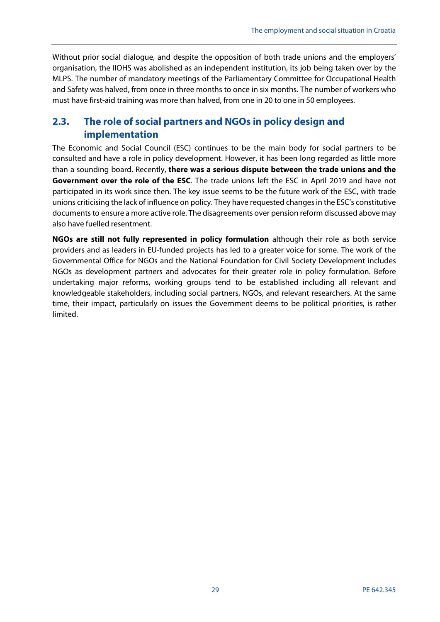Without prior social dialogue, and despite the opposition of both trade unions and the employers' organisation, the IIOHS was abolished as an independent institution, its job being taken over by the MLPS. The number of mandatory meetings of the Parliamentary Committee for Occupational Health and Safety was halved, from once in three months to once in six months. The number of workers who must have first-aid training was more than halved, from one in 20 to one in 50 employees.

# <span id="page-30-0"></span>**2.3. The role of social partners and NGOs in policy design and implementation**

The Economic and Social Council (ESC) continues to be the main body for social partners to be consulted and have a role in policy development. However, it has been long regarded as little more than a sounding board. Recently, **there was a serious dispute between the trade unions and the Government over the role of the ESC**. The trade unions left the ESC in April 2019 and have not participated in its work since then. The key issue seems to be the future work of the ESC, with trade unions criticising the lack of influence on policy. They have requested changes in the ESC's constitutive documents to ensure a more active role. The disagreements over pension reform discussed above may also have fuelled resentment.

**NGOs are still not fully represented in policy formulation** although their role as both service providers and as leaders in EU-funded projects has led to a greater voice for some. The work of the Governmental Office for NGOs and the National Foundation for Civil Society Development includes NGOs as development partners and advocates for their greater role in policy formulation. Before undertaking major reforms, working groups tend to be established including all relevant and knowledgeable stakeholders, including social partners, NGOs, and relevant researchers. At the same time, their impact, particularly on issues the Government deems to be political priorities, is rather limited.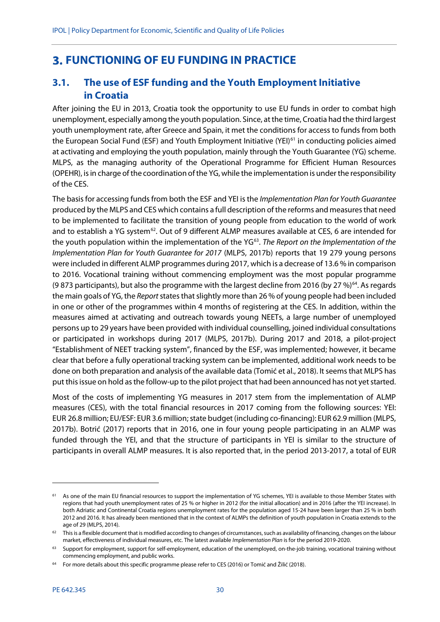# <span id="page-31-0"></span>**FUNCTIONING OF EU FUNDING IN PRACTICE**

# <span id="page-31-1"></span>**3.1. The use of ESF funding and the Youth Employment Initiative in Croatia**

After joining the EU in 2013, Croatia took the opportunity to use EU funds in order to combat high unemployment, especially among the youth population. Since, at the time, Croatia had the third largest youth unemployment rate, after Greece and Spain, it met the conditions for access to funds from both the European Social Fund (ESF) and Youth Employment Initiative (YEI)<sup>[61](#page-31-2)</sup> in conducting policies aimed at activating and employing the youth population, mainly through the Youth Guarantee (YG) scheme. MLPS, as the managing authority of the Operational Programme for Efficient Human Resources (OPEHR), is in charge of the coordination of the YG, while the implementation is under the responsibility of the CES.

The basis for accessing funds from both the ESF and YEI is the *Implementation Plan for Youth Guarantee* produced by the MLPS and CES which contains a full description of the reforms and measures that need to be implemented to facilitate the transition of young people from education to the world of work and to establish a YG system<sup>62</sup>. Out of 9 different ALMP measures available at CES, 6 are intended for the youth population within the implementation of the YG<sup>[63](#page-31-4)</sup>. The Report on the Implementation of the *Implementation Plan for Youth Guarantee for 2017* (MLPS, 2017b) reports that 19 279 young persons were included in different ALMP programmes during 2017, which is a decrease of 13.6 % in comparison to 2016. Vocational training without commencing employment was the most popular programme (9 873 participants), but also the programme with the largest decline from 2016 (by 27 %) $^{64}$  $^{64}$  $^{64}$ . As regards the main goals of YG, the *Report*states that slightly more than 26 % of young people had been included in one or other of the programmes within 4 months of registering at the CES. In addition, within the measures aimed at activating and outreach towards young NEETs, a large number of unemployed persons up to 29 years have been provided with individual counselling, joined individual consultations or participated in workshops during 2017 (MLPS, 2017b). During 2017 and 2018, a pilot-project "Establishment of NEET tracking system", financed by the ESF, was implemented; however, it became clear that before a fully operational tracking system can be implemented, additional work needs to be done on both preparation and analysis of the available data (Tomić et al., 2018). It seems that MLPS has put this issue on hold as the follow-up to the pilot project that had been announced has not yet started.

Most of the costs of implementing YG measures in 2017 stem from the implementation of ALMP measures (CES), with the total financial resources in 2017 coming from the following sources: YEI: EUR 26.8 million; EU/ESF: EUR 3.6 million; state budget (including co-financing): EUR 62.9 million (MLPS, 2017b). Botrić (2017) reports that in 2016, one in four young people participating in an ALMP was funded through the YEI, and that the structure of participants in YEI is similar to the structure of participants in overall ALMP measures. It is also reported that, in the period 2013-2017, a total of EUR

<span id="page-31-2"></span>As one of the main EU financial resources to support the implementation of YG schemes, YEI is available to those Member States with regions that had youth unemployment rates of 25 % or higher in 2012 (for the initial allocation) and in 2016 (after the YEI increase). In both Adriatic and Continental Croatia regions unemployment rates for the population aged 15-24 have been larger than 25 % in both 2012 and 2016. It has already been mentioned that in the context of ALMPs the definition of youth population in Croatia extends to the age of 29 (MLPS, 2014).

<span id="page-31-3"></span> $62$  This is a flexible document that is modified according to changes of circumstances, such as availability of financing, changes on the labour market, effectiveness of individual measures, etc. The latest available *Implementation Plan* is for the period 2019-2020.

<span id="page-31-4"></span><sup>63</sup> Support for employment, support for self-employment, education of the unemployed, on-the-job training, vocational training without commencing employment, and public works.

<span id="page-31-5"></span><sup>64</sup> For more details about this specific programme please refer to CES (2016) or Tomić and Žilić (2018).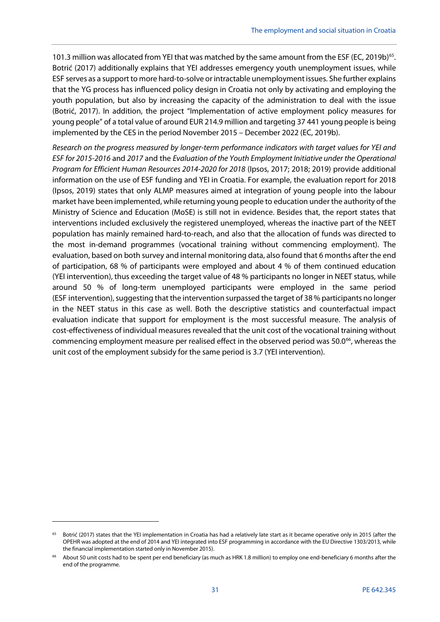101.3 million was allocated from YEI that was matched by the same amount from the ESF (EC, 2019b)<sup>[65](#page-32-0)</sup>. Botrić (2017) additionally explains that YEI addresses emergency youth unemployment issues, while ESF serves as a support to more hard-to-solve or intractable unemployment issues. She further explains that the YG process has influenced policy design in Croatia not only by activating and employing the youth population, but also by increasing the capacity of the administration to deal with the issue (Botrić, 2017). In addition, the project "Implementation of active employment policy measures for young people" of a total value of around EUR 214.9 million and targeting 37 441 young people is being implemented by the CES in the period November 2015 – December 2022 (EC, 2019b).

*Research on the progress measured by longer-term performance indicators with target values for YEI and ESF for 2015-2016* and *2017* and the *Evaluation of the Youth Employment Initiative under the Operational Program for Efficient Human Resources 2014-2020 for 2018* (Ipsos, 2017; 2018; 2019) provide additional information on the use of ESF funding and YEI in Croatia. For example, the evaluation report for 2018 (Ipsos, 2019) states that only ALMP measures aimed at integration of young people into the labour market have been implemented, while returning young people to education under the authority of the Ministry of Science and Education (MoSE) is still not in evidence. Besides that, the report states that interventions included exclusively the registered unemployed, whereas the inactive part of the NEET population has mainly remained hard-to-reach, and also that the allocation of funds was directed to the most in-demand programmes (vocational training without commencing employment). The evaluation, based on both survey and internal monitoring data, also found that 6 months after the end of participation, 68 % of participants were employed and about 4 % of them continued education (YEI intervention), thus exceeding the target value of 48 % participants no longer in NEET status, while around 50 % of long-term unemployed participants were employed in the same period (ESF intervention), suggesting that the intervention surpassed the target of 38 % participants no longer in the NEET status in this case as well. Both the descriptive statistics and counterfactual impact evaluation indicate that support for employment is the most successful measure. The analysis of cost-effectiveness of individual measures revealed that the unit cost of the vocational training without commencing employment measure per realised effect in the observed period was 50.0<sup>66</sup>, whereas the unit cost of the employment subsidy for the same period is 3.7 (YEI intervention).

<span id="page-32-0"></span><sup>&</sup>lt;sup>65</sup> Botrić (2017) states that the YEI implementation in Croatia has had a relatively late start as it became operative only in 2015 (after the OPEHR was adopted at the end of 2014 and YEI integrated into ESF programming in accordance with the EU Directive 1303/2013, while the financial implementation started only in November 2015).

<span id="page-32-1"></span><sup>&</sup>lt;sup>66</sup> About 50 unit costs had to be spent per end beneficiary (as much as HRK 1.8 million) to employ one end-beneficiary 6 months after the end of the programme.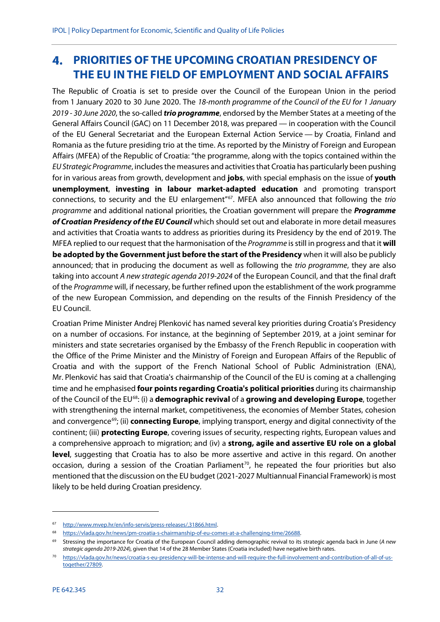# <span id="page-33-0"></span>**PRIORITIES OF THE UPCOMING CROATIAN PRESIDENCY OF THE EU IN THE FIELD OF EMPLOYMENT AND SOCIAL AFFAIRS**

The Republic of Croatia is set to preside over the Council of the European Union in the period from 1 January 2020 to 30 June 2020. The *18-month programme of the Council of the EU for 1 January 2019 - 30 June 2020*, the so-called *trio programme*, endorsed by the Member States at a meeting of the General Affairs Council (GAC) on 11 December 2018, was prepared — in cooperation with the Council of the EU General Secretariat and the European External Action Service — by Croatia, Finland and Romania as the future presiding trio at the time. As reported by the Ministry of Foreign and European Affairs (MFEA) of the Republic of Croatia: "the programme, along with the topics contained within the *EU Strategic Programme*, includes the measures and activities that Croatia has particularly been pushing for in various areas from growth, development and **jobs**, with special emphasis on the issue of **youth unemployment**, **investing in labour market-adapted education** and promoting transport connections, to security and the EU enlargement"[67](#page-33-1). MFEA also announced that following the *trio programme* and additional national priorities, the Croatian government will prepare the *Programme of Croatian Presidency of the EU Council* which should set out and elaborate in more detail measures and activities that Croatia wants to address as priorities during its Presidency by the end of 2019. The MFEA replied to our request that the harmonisation of the *Programme* is still in progress and that it **will be adopted by the Government just before the start of the Presidency** when it will also be publicly announced; that in producing the document as well as following the *trio programme*, they are also taking into account *A new strategic agenda 2019-2024* of the European Council, and that the final draft of the *Programme* will, if necessary, be further refined upon the establishment of the work programme of the new European Commission, and depending on the results of the Finnish Presidency of the EU Council.

Croatian Prime Minister Andrej Plenković has named several key priorities during Croatia's Presidency on a number of occasions. For instance, at the beginning of September 2019, at a joint seminar for ministers and state secretaries organised by the Embassy of the French Republic in cooperation with the Office of the Prime Minister and the Ministry of Foreign and European Affairs of the Republic of Croatia and with the support of the French National School of Public Administration (ENA), Mr. Plenković has said that Croatia's chairmanship of the Council of the EU is coming at a challenging time and he emphasised **four points regarding Croatia's political priorities** during its chairmanship of the Council of the EU[68](#page-33-2): (i) a **demographic revival** of a **growing and developing Europe**, together with strengthening the internal market, competitiveness, the economies of Member States, cohesion and convergence<sup>69</sup>; (ii) **connecting Europe**, implying transport, energy and digital connectivity of the continent; (iii) **protecting Europe**, covering issues of security, respecting rights, European values and a comprehensive approach to migration; and (iv) a **strong, agile and assertive EU role on a global level**, suggesting that Croatia has to also be more assertive and active in this regard. On another occasion, during a session of the Croatian Parliament<sup>70</sup>, he repeated the four priorities but also mentioned that the discussion on the EU budget (2021-2027 Multiannual Financial Framework) is most likely to be held during Croatian presidency.

<span id="page-33-1"></span><sup>67</sup> [http://www.mvep.hr/en/info-servis/press-releases/,31866.html.](http://www.mvep.hr/en/info-servis/press-releases/,31866.html)

<span id="page-33-3"></span><span id="page-33-2"></span><sup>68</sup> [https://vlada.gov.hr/news/pm-croatia-s-chairmanship-of-eu-comes-at-a-challenging-time/26688.](https://vlada.gov.hr/news/pm-croatia-s-chairmanship-of-eu-comes-at-a-challenging-time/26688)

<sup>69</sup> Stressing the importance for Croatia of the European Council adding demographic revival to its strategic agenda back in June (*A new strategic agenda 2019-2024*), given that 14 of the 28 Member States (Croatia included) have negative birth rates.

<span id="page-33-4"></span><sup>70</sup> [https://vlada.gov.hr/news/croatia-s-eu-presidency-will-be-intense-and-will-require-the-full-involvement-and-contribution-of-all-of-us](https://vlada.gov.hr/news/croatia-s-eu-presidency-will-be-intense-and-will-require-the-full-involvement-and-contribution-of-all-of-us-together/27809)[together/27809.](https://vlada.gov.hr/news/croatia-s-eu-presidency-will-be-intense-and-will-require-the-full-involvement-and-contribution-of-all-of-us-together/27809)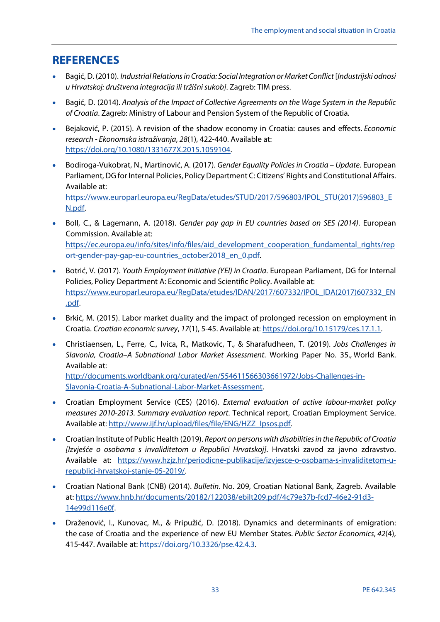# <span id="page-34-0"></span>**REFERENCES**

- Bagić, D. (2010). *Industrial Relations in Croatia: Social Integration or Market Conflict* [*Industrijski odnosi u Hrvatskoj: društvena integracija ili tržišni sukob]*. Zagreb: TIM press.
- Bagić, D. (2014). *Analysis of the Impact of Collective Agreements on the Wage System in the Republic of Croatia*. Zagreb: Ministry of Labour and Pension System of the Republic of Croatia.
- Bejaković, P. (2015). A revision of the shadow economy in Croatia: causes and effects. *Economic research - Ekonomska istraživanja*, *28*(1), 422-440. Available at: [https://doi.org/10.1080/1331677X.2015.1059104.](https://doi.org/10.1080/1331677X.2015.1059104)
- Bodiroga-Vukobrat, N., Martinović, A. (2017). *Gender Equality Policies in Croatia – Update*. European Parliament, DG for Internal Policies, Policy Department C: Citizens' Rights and Constitutional Affairs. Available at: [https://www.europarl.europa.eu/RegData/etudes/STUD/2017/596803/IPOL\\_STU\(2017\)596803\\_E](https://www.europarl.europa.eu/RegData/etudes/STUD/2017/596803/IPOL_STU(2017)596803_EN.pdf)

[N.pdf.](https://www.europarl.europa.eu/RegData/etudes/STUD/2017/596803/IPOL_STU(2017)596803_EN.pdf)

- Boll, C., & Lagemann, A. (2018). *Gender pay gap in EU countries based on SES (2014)*. European Commission*.* Available at: [https://ec.europa.eu/info/sites/info/files/aid\\_development\\_cooperation\\_fundamental\\_rights/rep](https://ec.europa.eu/info/sites/info/files/aid_development_cooperation_fundamental_rights/report-gender-pay-gap-eu-countries_october2018_en_0.pdf) [ort-gender-pay-gap-eu-countries\\_october2018\\_en\\_0.pdf.](https://ec.europa.eu/info/sites/info/files/aid_development_cooperation_fundamental_rights/report-gender-pay-gap-eu-countries_october2018_en_0.pdf)
- Botrić, V. (2017). *Youth Employment Initiative (YEI) in Croatia*. European Parliament, DG for Internal Policies, Policy Department A: Economic and Scientific Policy. Available at: [https://www.europarl.europa.eu/RegData/etudes/IDAN/2017/607332/IPOL\\_IDA\(2017\)607332\\_EN](https://www.europarl.europa.eu/RegData/etudes/IDAN/2017/607332/IPOL_IDA(2017)607332_EN.pdf) [.pdf.](https://www.europarl.europa.eu/RegData/etudes/IDAN/2017/607332/IPOL_IDA(2017)607332_EN.pdf)
- Brkić, M. (2015). Labor market duality and the impact of prolonged recession on employment in Croatia. *Croatian economic survey*, *17*(1), 5-45. Available at: [https://doi.org/10.15179/ces.17.1.1.](https://doi.org/10.15179/ces.17.1.1)
- Christiaensen, L., Ferre, C., Ivica, R., Matkovic, T., & Sharafudheen, T. (2019). *Jobs Challenges in Slavonia, Croatia–A Subnational Labor Market Assessment*. Working Paper No. 35., World Bank. Available at: [http://documents.worldbank.org/curated/en/554611566303661972/Jobs-Challenges-in-](http://documents.worldbank.org/curated/en/554611566303661972/Jobs-Challenges-in-Slavonia-Croatia-A-Subnational-Labor-Market-Assessment)[Slavonia-Croatia-A-Subnational-Labor-Market-Assessment.](http://documents.worldbank.org/curated/en/554611566303661972/Jobs-Challenges-in-Slavonia-Croatia-A-Subnational-Labor-Market-Assessment)
- Croatian Employment Service (CES) (2016). *External evaluation of active labour-market policy measures 2010-2013. Summary evaluation report*. Technical report, Croatian Employment Service. Available at: [http://www.ijf.hr/upload/files/file/ENG/HZZ\\_Ipsos.pdf.](http://www.ijf.hr/upload/files/file/ENG/HZZ_Ipsos.pdf)
- Croatian Institute of Public Health (2019). *Report on persons with disabilities in the Republic of Croatia [Izvješće o osobama s invaliditetom u Republici Hrvatskoj]*. Hrvatski zavod za javno zdravstvo. Available at: [https://www.hzjz.hr/periodicne-publikacije/izvjesce-o-osobama-s-invaliditetom-u](https://www.hzjz.hr/periodicne-publikacije/izvjesce-o-osobama-s-invaliditetom-u-republici-hrvatskoj-stanje-05-2019/)[republici-hrvatskoj-stanje-05-2019/.](https://www.hzjz.hr/periodicne-publikacije/izvjesce-o-osobama-s-invaliditetom-u-republici-hrvatskoj-stanje-05-2019/)
- Croatian National Bank (CNB) (2014). *Bulletin*. No. 209, Croatian National Bank, Zagreb. Available at: [https://www.hnb.hr/documents/20182/122038/ebilt209.pdf/4c79e37b-fcd7-46e2-91d3-](https://www.hnb.hr/documents/20182/122038/ebilt209.pdf/4c79e37b-fcd7-46e2-91d3-14e99d116e0f) [14e99d116e0f.](https://www.hnb.hr/documents/20182/122038/ebilt209.pdf/4c79e37b-fcd7-46e2-91d3-14e99d116e0f)
- Draženović, I., Kunovac, M., & Pripužić, D. (2018). Dynamics and determinants of emigration: the case of Croatia and the experience of new EU Member States. *Public Sector Economics*, *42*(4), 415-447. Available at: [https://doi.org/10.3326/pse.42.4.3.](https://doi.org/10.3326/pse.42.4.3)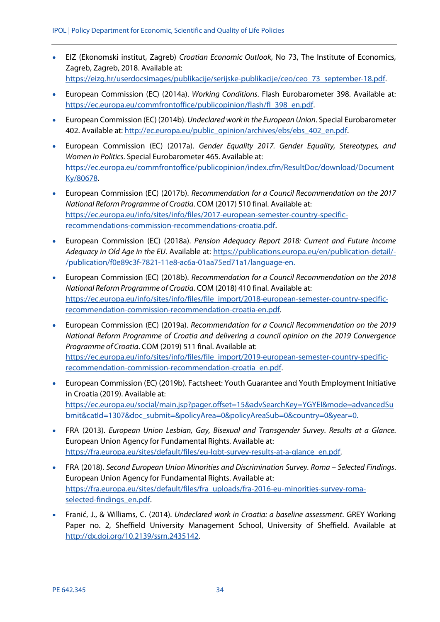- EIZ (Ekonomski institut, Zagreb) *Croatian Economic Outlook*, No 73, The Institute of Economics, Zagreb, Zagreb, 2018. Available at: [https://eizg.hr/userdocsimages/publikacije/serijske-publikacije/ceo/ceo\\_73\\_september-18.pdf.](https://eizg.hr/userdocsimages/publikacije/serijske-publikacije/ceo/ceo_73_september-18.pdf)
- European Commission (EC) (2014a). *Working Conditions*. Flash Eurobarometer 398. Available at: [https://ec.europa.eu/commfrontoffice/publicopinion/flash/fl\\_398\\_en.pdf.](https://ec.europa.eu/commfrontoffice/publicopinion/flash/fl_398_en.pdf)
- European Commission (EC) (2014b). *Undeclared work in the European Union*. Special Eurobarometer 402. Available at[: http://ec.europa.eu/public\\_opinion/archives/ebs/ebs\\_402\\_en.pdf.](http://ec.europa.eu/public_opinion/archives/ebs/ebs_402_en.pdf)
- European Commission (EC) (2017a). *Gender Equality 2017. Gender Equality, Stereotypes, and Women in Politics*. Special Eurobarometer 465. Available at: [https://ec.europa.eu/commfrontoffice/publicopinion/index.cfm/ResultDoc/download/Document](https://ec.europa.eu/commfrontoffice/publicopinion/index.cfm/ResultDoc/download/DocumentKy/80678) [Ky/80678.](https://ec.europa.eu/commfrontoffice/publicopinion/index.cfm/ResultDoc/download/DocumentKy/80678)
- European Commission (EC) (2017b). *Recommendation for a Council Recommendation on the 2017 National Reform Programme of Croatia*. COM (2017) 510 final. Available at: [https://ec.europa.eu/info/sites/info/files/2017-european-semester-country-specific](https://ec.europa.eu/info/sites/info/files/2017-european-semester-country-specific-recommendations-commission-recommendations-croatia.pdf)[recommendations-commission-recommendations-croatia.pdf.](https://ec.europa.eu/info/sites/info/files/2017-european-semester-country-specific-recommendations-commission-recommendations-croatia.pdf)
- European Commission (EC) (2018a). *Pension Adequacy Report 2018: Current and Future Income Adequacy in Old Age in the EU*. Available at: [https://publications.europa.eu/en/publication-detail/-](https://publications.europa.eu/en/publication-detail/-/publication/f0e89c3f-7821-11e8-ac6a-01aa75ed71a1/language-en) [/publication/f0e89c3f-7821-11e8-ac6a-01aa75ed71a1/language-en.](https://publications.europa.eu/en/publication-detail/-/publication/f0e89c3f-7821-11e8-ac6a-01aa75ed71a1/language-en)
- European Commission (EC) (2018b). *Recommendation for a Council Recommendation on the 2018 National Reform Programme of Croatia*. COM (2018) 410 final. Available at: [https://ec.europa.eu/info/sites/info/files/file\\_import/2018-european-semester-country-specific](https://ec.europa.eu/info/sites/info/files/file_import/2018-european-semester-country-specific-recommendation-commission-recommendation-croatia-en.pdf)[recommendation-commission-recommendation-croatia-en.pdf.](https://ec.europa.eu/info/sites/info/files/file_import/2018-european-semester-country-specific-recommendation-commission-recommendation-croatia-en.pdf)
- European Commission (EC) (2019a). *Recommendation for a Council Recommendation on the 2019 National Reform Programme of Croatia and delivering a council opinion on the 2019 Convergence Programme of Croatia*. COM (2019) 511 final. Available at: [https://ec.europa.eu/info/sites/info/files/file\\_import/2019-european-semester-country-specific](https://ec.europa.eu/info/sites/info/files/file_import/2019-european-semester-country-specific-recommendation-commission-recommendation-croatia_en.pdf)[recommendation-commission-recommendation-croatia\\_en.pdf.](https://ec.europa.eu/info/sites/info/files/file_import/2019-european-semester-country-specific-recommendation-commission-recommendation-croatia_en.pdf)
- European Commission (EC) (2019b). Factsheet: Youth Guarantee and Youth Employment Initiative in Croatia (2019). Available at: [https://ec.europa.eu/social/main.jsp?pager.offset=15&advSearchKey=YGYEI&mode=advancedSu](https://ec.europa.eu/social/main.jsp?pager.offset=15&advSearchKey=YGYEI&mode=advancedSubmit&catId=1307&doc_submit=&policyArea=0&policyAreaSub=0&country=0&year=0) [bmit&catId=1307&doc\\_submit=&policyArea=0&policyAreaSub=0&country=0&year=0.](https://ec.europa.eu/social/main.jsp?pager.offset=15&advSearchKey=YGYEI&mode=advancedSubmit&catId=1307&doc_submit=&policyArea=0&policyAreaSub=0&country=0&year=0)
- FRA (2013). *European Union Lesbian, Gay, Bisexual and Transgender Survey. Results at a Glance*. European Union Agency for Fundamental Rights. Available at: [https://fra.europa.eu/sites/default/files/eu-lgbt-survey-results-at-a-glance\\_en.pdf.](https://fra.europa.eu/sites/default/files/eu-lgbt-survey-results-at-a-glance_en.pdf)
- FRA (2018). *Second European Union Minorities and Discrimination Survey. Roma – Selected Findings*. European Union Agency for Fundamental Rights. Available at: [https://fra.europa.eu/sites/default/files/fra\\_uploads/fra-2016-eu-minorities-survey-roma](https://fra.europa.eu/sites/default/files/fra_uploads/fra-2016-eu-minorities-survey-roma-selected-findings_en.pdf)[selected-findings\\_en.pdf.](https://fra.europa.eu/sites/default/files/fra_uploads/fra-2016-eu-minorities-survey-roma-selected-findings_en.pdf)
- Franić, J., & Williams, C. (2014). *Undeclared work in Croatia: a baseline assessment*. GREY Working Paper no. 2, Sheffield University Management School, University of Sheffield. Available at [http://dx.doi.org/10.2139/ssrn.2435142.](https://dx.doi.org/10.2139/ssrn.2435142)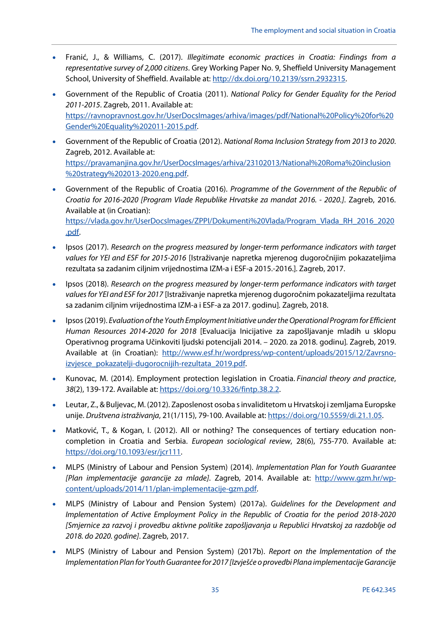- Franić, J., & Williams, C. (2017). *Illegitimate economic practices in Croatia: Findings from a representative survey of 2,000 citizens*. Grey Working Paper No. 9, Sheffield University Management School, University of Sheffield. Available at[: http://dx.doi.org/10.2139/ssrn.2932315.](https://dx.doi.org/10.2139/ssrn.2932315)
- Government of the Republic of Croatia (2011). *National Policy for Gender Equality for the Period 2011-2015*. Zagreb, 2011. Available at: [https://ravnopravnost.gov.hr/UserDocsImages/arhiva/images/pdf/National%20Policy%20for%20](https://ravnopravnost.gov.hr/UserDocsImages/arhiva/images/pdf/National%20Policy%20for%20Gender%20Equality%202011-2015.pdf) [Gender%20Equality%202011-2015.pdf.](https://ravnopravnost.gov.hr/UserDocsImages/arhiva/images/pdf/National%20Policy%20for%20Gender%20Equality%202011-2015.pdf)
- Government of the Republic of Croatia (2012). *National Roma Inclusion Strategy from 2013 to 2020*. Zagreb, 2012. Available at: [https://pravamanjina.gov.hr/UserDocsImages/arhiva/23102013/National%20Roma%20inclusion](https://pravamanjina.gov.hr/UserDocsImages/arhiva/23102013/National%20Roma%20inclusion%20strategy%202013-2020.eng.pdf) [%20strategy%202013-2020.eng.pdf.](https://pravamanjina.gov.hr/UserDocsImages/arhiva/23102013/National%20Roma%20inclusion%20strategy%202013-2020.eng.pdf)
- Government of the Republic of Croatia (2016). *Programme of the Government of the Republic of Croatia for 2016-2020 [Program Vlade Republike Hrvatske za mandat 2016. - 2020.]*. Zagreb, 2016. Available at (in Croatian): [https://vlada.gov.hr/UserDocsImages/ZPPI/Dokumenti%20Vlada/Program\\_Vlada\\_RH\\_2016\\_2020](https://vlada.gov.hr/UserDocsImages/ZPPI/Dokumenti%20Vlada/Program_Vlada_RH_2016_2020.pdf) [.pdf.](https://vlada.gov.hr/UserDocsImages/ZPPI/Dokumenti%20Vlada/Program_Vlada_RH_2016_2020.pdf)
- Ipsos (2017). *Research on the progress measured by longer-term performance indicators with target values for YEI and ESF for 2015-2016* [Istraživanje napretka mjerenog dugoročnijim pokazateljima rezultata sa zadanim ciljnim vrijednostima IZM-a i ESF-a 2015.-2016.]*.* Zagreb, 2017.
- Ipsos (2018). *Research on the progress measured by longer-term performance indicators with target values for YEI and ESF for 2017* [Istraživanje napretka mjerenog dugoročnim pokazateljima rezultata sa zadanim ciljnim vrijednostima IZM-a i ESF-a za 2017. godinu]*.* Zagreb, 2018.
- Ipsos (2019). *Evaluation of the Youth Employment Initiative under the Operational Program for Efficient Human Resources 2014-2020 for 2018* [Evaluacija Inicijative za zapošljavanje mladih u sklopu Operativnog programa Učinkoviti ljudski potencijali 2014. – 2020. za 2018. godinu]*.* Zagreb, 2019. Available at (in Croatian): [http://www.esf.hr/wordpress/wp-content/uploads/2015/12/Zavrsno](http://www.esf.hr/wordpress/wp-content/uploads/2015/12/Zavrsno-izvjesce_pokazatelji-dugorocnijih-rezultata_2019.pdf)[izvjesce\\_pokazatelji-dugorocnijih-rezultata\\_2019.pdf.](http://www.esf.hr/wordpress/wp-content/uploads/2015/12/Zavrsno-izvjesce_pokazatelji-dugorocnijih-rezultata_2019.pdf)
- Kunovac, M. (2014). Employment protection legislation in Croatia. *Financial theory and practice*, *38*(2), 139-172. Available at: [https://doi.org/10.3326/fintp.38.2.2.](https://doi.org/10.3326/fintp.38.2.2)
- Leutar, Z., & Buljevac, M. (2012). Zaposlenost osoba s invaliditetom u Hrvatskoj i zemljama Europske unije. *Društvena istraživanja*, 21(1/115), 79-100. Available at[: https://doi.org/10.5559/di.21.1.05.](https://doi.org/10.5559/di.21.1.05)
- Matković, T., & Kogan, I. (2012). All or nothing? The consequences of tertiary education noncompletion in Croatia and Serbia. *European sociological review*, 28(6), 755-770. Available at: [https://doi.org/10.1093/esr/jcr111.](https://doi.org/10.1093/esr/jcr111)
- MLPS (Ministry of Labour and Pension System) (2014). *Implementation Plan for Youth Guarantee [Plan implementacije garancije za mlade]*. Zagreb, 2014. Available at: [http://www.gzm.hr/wp](http://www.gzm.hr/wp-content/uploads/2014/11/plan-implementacije-gzm.pdf)[content/uploads/2014/11/plan-implementacije-gzm.pdf.](http://www.gzm.hr/wp-content/uploads/2014/11/plan-implementacije-gzm.pdf)
- MLPS (Ministry of Labour and Pension System) (2017a). *Guidelines for the Development and Implementation of Active Employment Policy in the Republic of Croatia for the period 2018-2020 [Smjernice za razvoj i provedbu aktivne politike zapošljavanja u Republici Hrvatskoj za razdoblje od 2018. do 2020. godine]*. Zagreb, 2017.
- MLPS (Ministry of Labour and Pension System) (2017b). *Report on the Implementation of the Implementation Plan for Youth Guarantee for 2017 [Izvješće o provedbi Plana implementacije Garancije*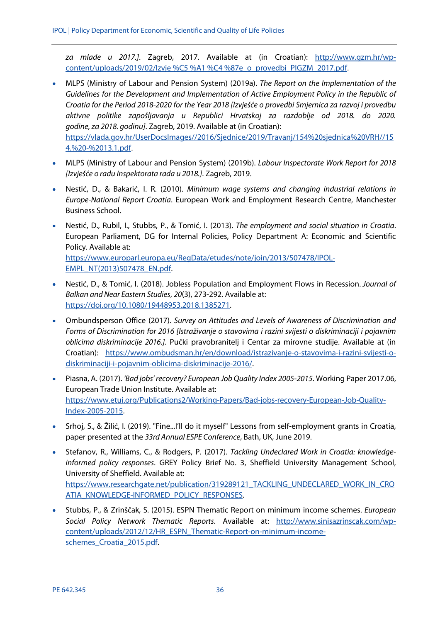*za mlade u 2017.]*. Zagreb, 2017. Available at (in Croatian): [http://www.gzm.hr/wp](http://www.gzm.hr/wp-content/uploads/2019/02/Izvje%C5%A1%C4%87e_o_provedbi_PIGZM_2017.pdf)[content/uploads/2019/02/Izvje %C5 %A1 %C4 %87e\\_o\\_provedbi\\_PIGZM\\_2017.pdf.](http://www.gzm.hr/wp-content/uploads/2019/02/Izvje%C5%A1%C4%87e_o_provedbi_PIGZM_2017.pdf)

- MLPS (Ministry of Labour and Pension System) (2019a). *The Report on the Implementation of the Guidelines for the Development and Implementation of Active Employment Policy in the Republic of Croatia for the Period 2018-2020 for the Year 2018 [Izvješće o provedbi Smjernica za razvoj i provedbu aktivne politike zapošljavanja u Republici Hrvatskoj za razdoblje od 2018. do 2020. godine, za 2018. godinu]*. Zagreb, 2019. Available at (in Croatian): [https://vlada.gov.hr/UserDocsImages//2016/Sjednice/2019/Travanj/154%20sjednica%20VRH//15](https://vlada.gov.hr/UserDocsImages/2016/Sjednice/2019/Travanj/154%20sjednica%20VRH/154.%20-%2013.1.pdf) [4.%20-%2013.1.pdf.](https://vlada.gov.hr/UserDocsImages/2016/Sjednice/2019/Travanj/154%20sjednica%20VRH/154.%20-%2013.1.pdf)
- MLPS (Ministry of Labour and Pension System) (2019b). *Labour Inspectorate Work Report for 2018 [Izvješće o radu Inspektorata rada u 2018.]*. Zagreb, 2019.
- Nestić, D., & Bakarić, I. R. (2010). *Minimum wage systems and changing industrial relations in Europe-National Report Croatia*. European Work and Employment Research Centre, Manchester Business School.
- Nestić, D., Rubil, I., Stubbs, P., & Tomić, I. (2013). *The employment and social situation in Croatia*. European Parliament, DG for Internal Policies, Policy Department A: Economic and Scientific Policy. Available at: [https://www.europarl.europa.eu/RegData/etudes/note/join/2013/507478/IPOL-](https://www.europarl.europa.eu/RegData/etudes/note/join/2013/507478/IPOL-EMPL_NT(2013)507478_EN.pdf)

[EMPL\\_NT\(2013\)507478\\_EN.pdf.](https://www.europarl.europa.eu/RegData/etudes/note/join/2013/507478/IPOL-EMPL_NT(2013)507478_EN.pdf)

- Nestić, D., & Tomić, I. (2018). Jobless Population and Employment Flows in Recession. *Journal of Balkan and Near Eastern Studies*, *20*(3), 273-292. Available at: [https://doi.org/10.1080/19448953.2018.1385271.](https://doi.org/10.1080/19448953.2018.1385271)
- Ombundsperson Office (2017). *Survey on Attitudes and Levels of Awareness of Discrimination and Forms of Discrimination for 2016 [Istraživanje o stavovima i razini svijesti o diskriminaciji i pojavnim oblicima diskriminacije 2016.]*. Pučki pravobranitelj i Centar za mirovne studije. Available at (in Croatian): [https://www.ombudsman.hr/en/download/istrazivanje-o-stavovima-i-razini-svijesti-o](https://www.ombudsman.hr/en/download/istrazivanje-o-stavovima-i-razini-svijesti-o-diskriminaciji-i-pojavnim-oblicima-diskriminacije-2016/)[diskriminaciji-i-pojavnim-oblicima-diskriminacije-2016/.](https://www.ombudsman.hr/en/download/istrazivanje-o-stavovima-i-razini-svijesti-o-diskriminaciji-i-pojavnim-oblicima-diskriminacije-2016/)
- Piasna, A. (2017). *'Bad jobs' recovery? European Job Quality Index 2005-2015*. Working Paper 2017.06, European Trade Union Institute. Available at: [https://www.etui.org/Publications2/Working-Papers/Bad-jobs-recovery-European-Job-Quality-](https://www.etui.org/Publications2/Working-Papers/Bad-jobs-recovery-European-Job-Quality-Index-2005-2015)[Index-2005-2015.](https://www.etui.org/Publications2/Working-Papers/Bad-jobs-recovery-European-Job-Quality-Index-2005-2015)
- Srhoj, S., & Žilić, I. (2019). "Fine...I'll do it myself" Lessons from self-employment grants in Croatia, paper presented at the *33rd Annual ESPE Conference*, Bath, UK, June 2019.
- Stefanov, R., Williams, C., & Rodgers, P. (2017). *Tackling Undeclared Work in Croatia: knowledgeinformed policy responses*. GREY Policy Brief No. 3, Sheffield University Management School, University of Sheffield. Available at: [https://www.researchgate.net/publication/319289121\\_TACKLING\\_UNDECLARED\\_WORK\\_IN\\_CRO](https://www.researchgate.net/publication/319289121_TACKLING_UNDECLARED_WORK_IN_CROATIA_KNOWLEDGE-INFORMED_POLICY_RESPONSES) [ATIA\\_KNOWLEDGE-INFORMED\\_POLICY\\_RESPONSES.](https://www.researchgate.net/publication/319289121_TACKLING_UNDECLARED_WORK_IN_CROATIA_KNOWLEDGE-INFORMED_POLICY_RESPONSES)
- Stubbs, P., & Zrinščak, S. (2015). ESPN Thematic Report on minimum income schemes. *European Social Policy Network Thematic Reports*. Available at: [http://www.sinisazrinscak.com/wp](http://www.sinisazrinscak.com/wp-content/uploads/2012/12/HR_ESPN_Thematic-Report-on-minimum-income-schemes_Croatia_2015.pdf)[content/uploads/2012/12/HR\\_ESPN\\_Thematic-Report-on-minimum-income](http://www.sinisazrinscak.com/wp-content/uploads/2012/12/HR_ESPN_Thematic-Report-on-minimum-income-schemes_Croatia_2015.pdf)schemes Croatia 2015.pdf.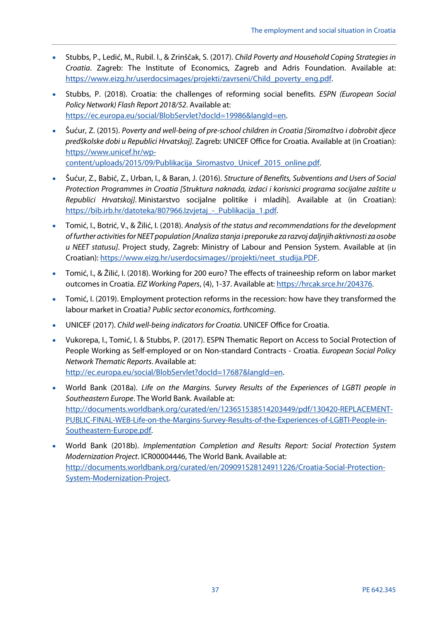- Stubbs, P., Ledić, M., Rubil. I., & Zrinščak, S. (2017). *Child Poverty and Household Coping Strategies in Croatia*. Zagreb: The Institute of Economics, Zagreb and Adris Foundation. Available at: [https://www.eizg.hr/userdocsimages/projekti/zavrseni/Child\\_poverty\\_eng.pdf.](https://www.eizg.hr/userdocsimages/projekti/zavrseni/Child_poverty_eng.pdf)
- Stubbs, P. (2018). Croatia: the challenges of reforming social benefits. *ESPN (European Social Policy Network) Flash Report 2018/52*. Available at: [https://ec.europa.eu/social/BlobServlet?docId=19986&langId=en.](https://ec.europa.eu/social/BlobServlet?docId=19986&langId=en)
- Šućur, Z. (2015). *Poverty and well-being of pre-school children in Croatia [Siromaštvo i dobrobit djece predškolske dobi u Republici Hrvatskoj]*. Zagreb: UNICEF Office for Croatia. Available at (in Croatian): [https://www.unicef.hr/wp](https://www.unicef.hr/wp-content/uploads/2015/09/Publikacija_Siromastvo_Unicef_2015_online.pdf)[content/uploads/2015/09/Publikacija\\_Siromastvo\\_Unicef\\_2015\\_online.pdf.](https://www.unicef.hr/wp-content/uploads/2015/09/Publikacija_Siromastvo_Unicef_2015_online.pdf)

• Šućur, Z., Babić, Z., Urban, I., & Baran, J. (2016). *Structure of Benefits, Subventions and Users of Social Protection Programmes in Croatia [Struktura naknada, izdaci i korisnici programa socijalne zaštite u Republici Hrvatskoj]*. Ministarstvo socijalne politike i mladih]. Available at (in Croatian):

- Tomić, I., Botrić, V., & Žilić, I. (2018). *Analysis of the status and recommendations for the development of further activities for NEET population [Analiza stanja i preporuke za razvoj daljnjih aktivnosti za osobe u NEET statusu]*. Project study, Zagreb: Ministry of Labour and Pension System. Available at (in Croatian)[: https://www.eizg.hr/userdocsimages//projekti/neet\\_studija.PDF.](https://www.eizg.hr/userdocsimages/projekti/neet_studija.PDF)
- Tomić, I., & Žilić, I. (2018). Working for 200 euro? The effects of traineeship reform on labor market outcomes in Croatia. *EIZ Working Papers*, (4), 1-37. Available at[: https://hrcak.srce.hr/204376.](https://hrcak.srce.hr/204376)
- Tomić, I. (2019). Employment protection reforms in the recession: how have they transformed the labour market in Croatia? *Public sector economics*, *forthcoming*.
- UNICEF (2017). *Child well-being indicators for Croatia*. UNICEF Office for Croatia.

https://bib.irb.hr/datoteka/807966.Izvjetaj - Publikacija 1.pdf.

- Vukorepa, I., Tomić, I. & Stubbs, P. (2017). ESPN Thematic Report on Access to Social Protection of People Working as Self-employed or on Non-standard Contracts - Croatia. *European Social Policy Network Thematic Reports*. Available at: http://ec.europa.eu/social/BlobServlet?docId=17687&langId=en.
- World Bank (2018a). *Life on the Margins. Survey Results of the Experiences of LGBTI people in Southeastern Europe*. The World Bank. Available at: [http://documents.worldbank.org/curated/en/123651538514203449/pdf/130420-REPLACEMENT-](http://documents.worldbank.org/curated/en/123651538514203449/pdf/130420-REPLACEMENT-PUBLIC-FINAL-WEB-Life-on-the-Margins-Survey-Results-of-the-Experiences-of-LGBTI-People-in-Southeastern-Europe.pdf)[PUBLIC-FINAL-WEB-Life-on-the-Margins-Survey-Results-of-the-Experiences-of-LGBTI-People-in-](http://documents.worldbank.org/curated/en/123651538514203449/pdf/130420-REPLACEMENT-PUBLIC-FINAL-WEB-Life-on-the-Margins-Survey-Results-of-the-Experiences-of-LGBTI-People-in-Southeastern-Europe.pdf)[Southeastern-Europe.pdf.](http://documents.worldbank.org/curated/en/123651538514203449/pdf/130420-REPLACEMENT-PUBLIC-FINAL-WEB-Life-on-the-Margins-Survey-Results-of-the-Experiences-of-LGBTI-People-in-Southeastern-Europe.pdf)
- World Bank (2018b). *Implementation Completion and Results Report: Social Protection System Modernization Project*. ICR00004446, The World Bank. Available at: [http://documents.worldbank.org/curated/en/209091528124911226/Croatia-Social-Protection-](http://documents.worldbank.org/curated/en/209091528124911226/Croatia-Social-Protection-System-Modernization-Project)[System-Modernization-Project.](http://documents.worldbank.org/curated/en/209091528124911226/Croatia-Social-Protection-System-Modernization-Project)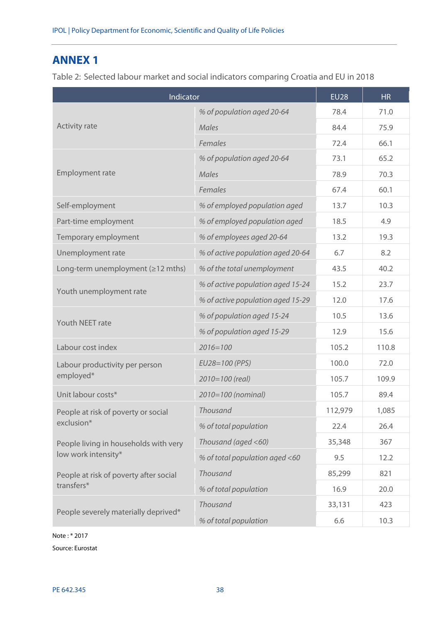# <span id="page-39-0"></span>**ANNEX 1**

<span id="page-39-1"></span>Table 2: Selected labour market and social indicators comparing Croatia and EU in 2018

| Indicator                                        | <b>EU28</b>                       | <b>HR</b> |       |
|--------------------------------------------------|-----------------------------------|-----------|-------|
|                                                  | % of population aged 20-64        | 78.4      | 71.0  |
| <b>Activity rate</b>                             | <b>Males</b>                      | 84.4      | 75.9  |
|                                                  | Females                           | 72.4      | 66.1  |
|                                                  | % of population aged 20-64        | 73.1      | 65.2  |
| Employment rate                                  | <b>Males</b>                      | 78.9      | 70.3  |
|                                                  | Females                           | 67.4      | 60.1  |
| Self-employment                                  | % of employed population aged     | 13.7      | 10.3  |
| Part-time employment                             | % of employed population aged     | 18.5      | 4.9   |
| Temporary employment                             | % of employees aged 20-64         | 13.2      | 19.3  |
| Unemployment rate                                | % of active population aged 20-64 | 6.7       | 8.2   |
| Long-term unemployment $( \geq 12 \text{ mths})$ | % of the total unemployment       | 43.5      | 40.2  |
|                                                  | % of active population aged 15-24 | 15.2      | 23.7  |
| Youth unemployment rate                          | % of active population aged 15-29 | 12.0      | 17.6  |
|                                                  | % of population aged 15-24        | 10.5      | 13.6  |
| Youth NEET rate                                  | % of population aged 15-29        | 12.9      | 15.6  |
| Labour cost index                                | $2016 = 100$                      | 105.2     | 110.8 |
| Labour productivity per person                   | EU28=100 (PPS)                    | 100.0     | 72.0  |
| employed*                                        | 2010=100 (real)                   | 105.7     | 109.9 |
| Unit labour costs*                               | 2010=100 (nominal)                | 105.7     | 89.4  |
| People at risk of poverty or social              | Thousand                          | 112,979   | 1,085 |
| exclusion*                                       | % of total population             | 22.4      | 26.4  |
| People living in households with very            | Thousand (aged <60)               | 35,348    | 367   |
| low work intensity*                              | % of total population aged <60    | 9.5       | 12.2  |
| People at risk of poverty after social           | <b>Thousand</b>                   | 85,299    | 821   |
| transfers*                                       | % of total population             | 16.9      | 20.0  |
|                                                  | Thousand                          | 33,131    | 423   |
| People severely materially deprived*             | % of total population             | 6.6       | 10.3  |

Note : \* 2017

Source: Eurostat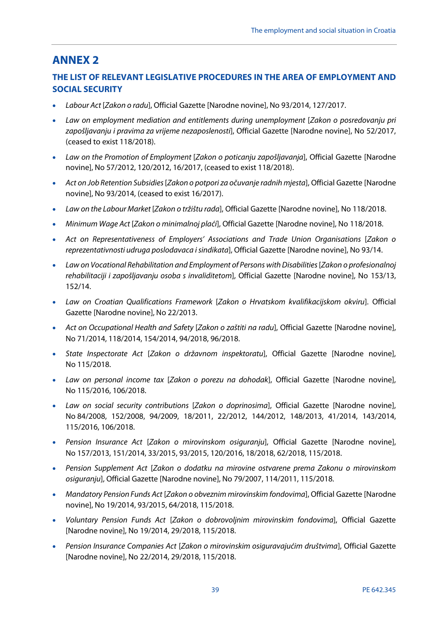# <span id="page-40-0"></span>**ANNEX 2**

## **THE LIST OF RELEVANT LEGISLATIVE PROCEDURES IN THE AREA OF EMPLOYMENT AND SOCIAL SECURITY**

- *Labour Act* [*Zakon o radu*], Official Gazette [Narodne novine], No 93/2014, 127/2017.
- *Law on employment mediation and entitlements during unemployment* [*Zakon o posredovanju pri zapošljavanju i pravima za vrijeme nezaposlenosti*], Official Gazette [Narodne novine], No 52/2017, (ceased to exist 118/2018).
- *Law on the Promotion of Employment* [*Zakon o poticanju zapošljavanja*], Official Gazette [Narodne novine], No 57/2012, 120/2012, 16/2017, (ceased to exist 118/2018).
- *Act on Job Retention Subsidies* [*Zakon o potpori za očuvanje radnih mjesta*], Official Gazette [Narodne novine], No 93/2014, (ceased to exist 16/2017).
- *Law on the Labour Market* [*Zakon o tržištu rada*], Official Gazette [Narodne novine], No 118/2018.
- *Minimum Wage Act* [*Zakon o minimalnoj plaći*], Official Gazette [Narodne novine], No 118/2018.
- Act on Representativeness of Employers' Associations and Trade Union Organisations [Zakon o *reprezentativnosti udruga poslodavaca i sindikata*], Official Gazette [Narodne novine], No 93/14.
- *Law on Vocational Rehabilitation and Employment of Persons with Disabilities* [*Zakon o profesionalnoj rehabilitaciji i zapošljavanju osoba s invaliditetom*], Official Gazette [Narodne novine], No 153/13, 152/14.
- *Law on Croatian Qualifications Framework* [*Zakon o Hrvatskom kvalifikacijskom okviru*]. Official Gazette [Narodne novine], No 22/2013.
- *Act on Occupational Health and Safety* [*Zakon o zaštiti na radu*], Official Gazette [Narodne novine], No 71/2014, 118/2014, 154/2014, 94/2018, 96/2018.
- *State Inspectorate Act* [*Zakon o državnom inspektoratu*], Official Gazette [Narodne novine], No 115/2018.
- *Law on personal income tax* [*Zakon o porezu na dohodak*], Official Gazette [Narodne novine], No 115/2016, 106/2018.
- *Law on social security contributions* [*Zakon o doprinosima*], Official Gazette [Narodne novine], No 84/2008, 152/2008, 94/2009, 18/2011, 22/2012, 144/2012, 148/2013, 41/2014, 143/2014, 115/2016, 106/2018.
- *Pension Insurance Act* [*Zakon o mirovinskom osiguranju*], Official Gazette [Narodne novine], No 157/2013, 151/2014, 33/2015, 93/2015, 120/2016, 18/2018, 62/2018, 115/2018.
- *Pension Supplement Act* [*Zakon o dodatku na mirovine ostvarene prema Zakonu o mirovinskom osiguranju*], Official Gazette [Narodne novine], No 79/2007, 114/2011, 115/2018.
- *Mandatory Pension Funds Act* [*Zakon o obveznim mirovinskim fondovima*], Official Gazette [Narodne novine], No 19/2014, 93/2015, 64/2018, 115/2018.
- *Voluntary Pension Funds Act* [*Zakon o dobrovoljnim mirovinskim fondovima*], Official Gazette [Narodne novine], No 19/2014, 29/2018, 115/2018.
- *Pension Insurance Companies Act* [*Zakon o mirovinskim osiguravajućim društvima*], Official Gazette [Narodne novine], No 22/2014, 29/2018, 115/2018.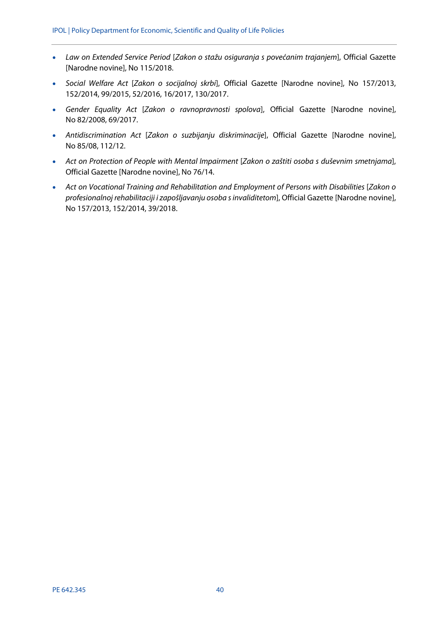- *Law on Extended Service Period* [*Zakon o stažu osiguranja s povećanim trajanjem*], Official Gazette [Narodne novine], No 115/2018.
- *Social Welfare Act* [*Zakon o socijalnoj skrbi*], Official Gazette [Narodne novine], No 157/2013, 152/2014, 99/2015, 52/2016, 16/2017, 130/2017.
- *Gender Equality Act* [*Zakon o ravnopravnosti spolova*], Official Gazette [Narodne novine], No 82/2008, 69/2017.
- *Antidiscrimination Act* [*Zakon o suzbijanju diskriminacije*], Official Gazette [Narodne novine], No 85/08, 112/12.
- *Act on Protection of People with Mental Impairment* [*Zakon o zaštiti osoba s duševnim smetnjama*], Official Gazette [Narodne novine], No 76/14.
- Act on Vocational Training and Rehabilitation and Employment of Persons with Disabilities [Zakon o *profesionalnoj rehabilitaciji i zapošljavanju osoba s invaliditetom*], Official Gazette [Narodne novine], No 157/2013, 152/2014, 39/2018.